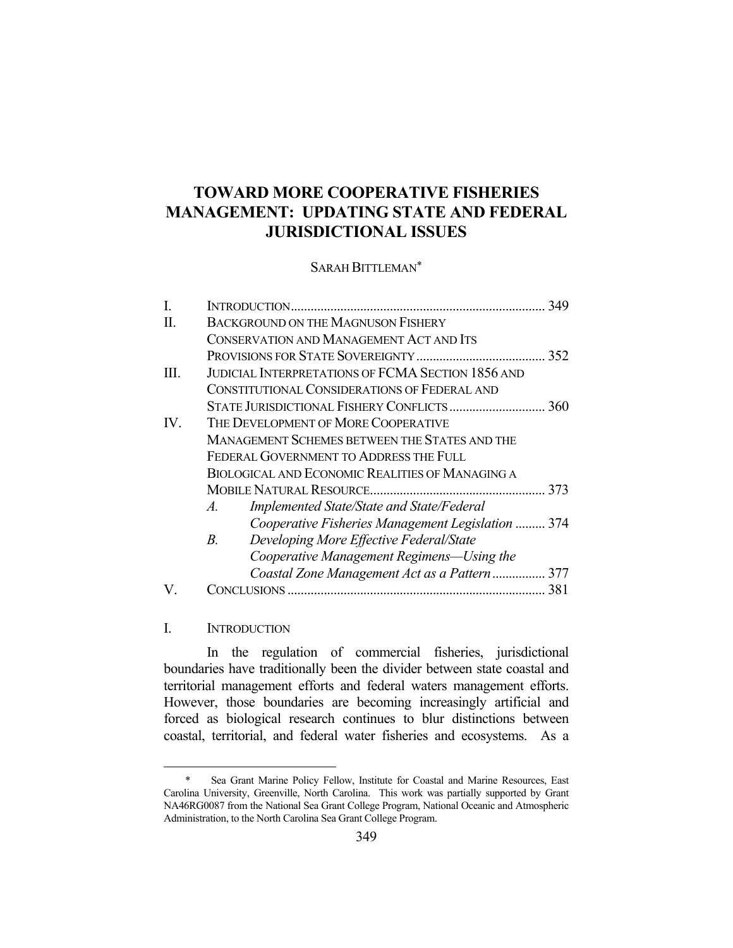# **TOWARD MORE COOPERATIVE FISHERIES MANAGEMENT: UPDATING STATE AND FEDERAL JURISDICTIONAL ISSUES**

#### SARAH BITTLEMAN\*

| I.                | 349                                                      |  |
|-------------------|----------------------------------------------------------|--|
| H.                | <b>BACKGROUND ON THE MAGNUSON FISHERY</b>                |  |
|                   | CONSERVATION AND MANAGEMENT ACT AND ITS                  |  |
|                   |                                                          |  |
| TH.               | <b>JUDICIAL INTERPRETATIONS OF FCMA SECTION 1856 AND</b> |  |
|                   | CONSTITUTIONAL CONSIDERATIONS OF FEDERAL AND             |  |
|                   |                                                          |  |
| $\mathbf{IV}_{-}$ | THE DEVELOPMENT OF MORE COOPERATIVE                      |  |
|                   | MANAGEMENT SCHEMES BETWEEN THE STATES AND THE            |  |
|                   | FEDERAL GOVERNMENT TO ADDRESS THE FULL                   |  |
|                   | <b>BIOLOGICAL AND ECONOMIC REALITIES OF MANAGING A</b>   |  |
|                   |                                                          |  |
|                   | Implemented State/State and State/Federal<br>$A$ .       |  |
|                   | Cooperative Fisheries Management Legislation  374        |  |
|                   | Developing More Effective Federal/State<br>$B_{\cdot}$   |  |
|                   | Cooperative Management Regimens—Using the                |  |
|                   | Coastal Zone Management Act as a Pattern 377             |  |
|                   | CONCLUSIONS                                              |  |
|                   |                                                          |  |

I. INTRODUCTION

1

 In the regulation of commercial fisheries, jurisdictional boundaries have traditionally been the divider between state coastal and territorial management efforts and federal waters management efforts. However, those boundaries are becoming increasingly artificial and forced as biological research continues to blur distinctions between coastal, territorial, and federal water fisheries and ecosystems. As a

 <sup>\*</sup> Sea Grant Marine Policy Fellow, Institute for Coastal and Marine Resources, East Carolina University, Greenville, North Carolina. This work was partially supported by Grant NA46RG0087 from the National Sea Grant College Program, National Oceanic and Atmospheric Administration, to the North Carolina Sea Grant College Program.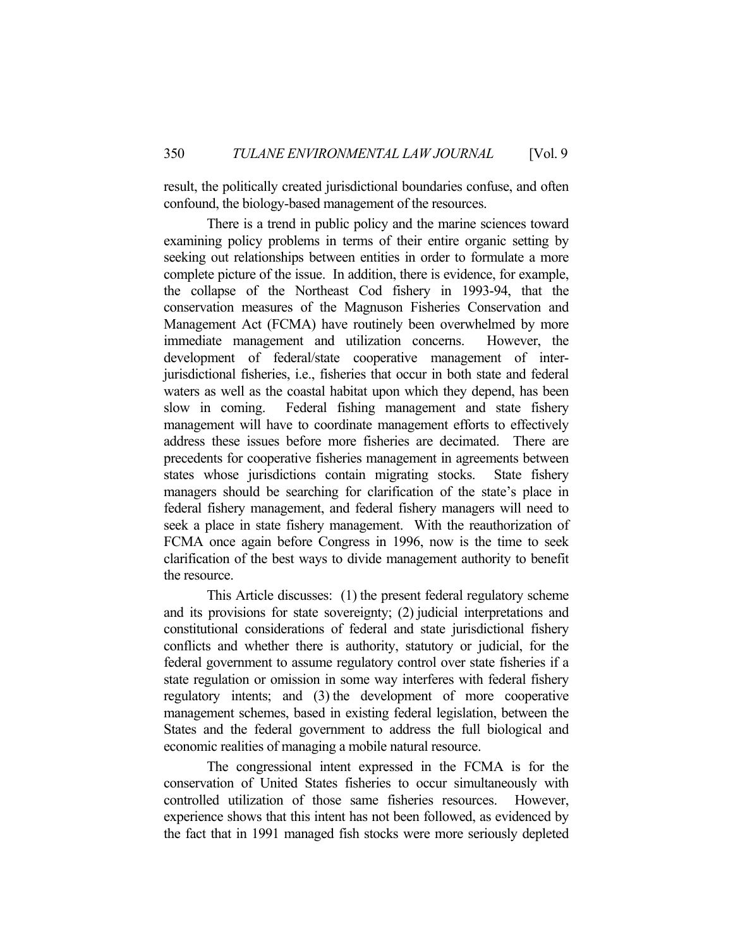result, the politically created jurisdictional boundaries confuse, and often confound, the biology-based management of the resources.

 There is a trend in public policy and the marine sciences toward examining policy problems in terms of their entire organic setting by seeking out relationships between entities in order to formulate a more complete picture of the issue. In addition, there is evidence, for example, the collapse of the Northeast Cod fishery in 1993-94, that the conservation measures of the Magnuson Fisheries Conservation and Management Act (FCMA) have routinely been overwhelmed by more immediate management and utilization concerns. However, the development of federal/state cooperative management of interjurisdictional fisheries, i.e., fisheries that occur in both state and federal waters as well as the coastal habitat upon which they depend, has been slow in coming. Federal fishing management and state fishery management will have to coordinate management efforts to effectively address these issues before more fisheries are decimated. There are precedents for cooperative fisheries management in agreements between states whose jurisdictions contain migrating stocks. State fishery managers should be searching for clarification of the state's place in federal fishery management, and federal fishery managers will need to seek a place in state fishery management. With the reauthorization of FCMA once again before Congress in 1996, now is the time to seek clarification of the best ways to divide management authority to benefit the resource.

 This Article discusses: (1) the present federal regulatory scheme and its provisions for state sovereignty; (2) judicial interpretations and constitutional considerations of federal and state jurisdictional fishery conflicts and whether there is authority, statutory or judicial, for the federal government to assume regulatory control over state fisheries if a state regulation or omission in some way interferes with federal fishery regulatory intents; and (3) the development of more cooperative management schemes, based in existing federal legislation, between the States and the federal government to address the full biological and economic realities of managing a mobile natural resource.

 The congressional intent expressed in the FCMA is for the conservation of United States fisheries to occur simultaneously with controlled utilization of those same fisheries resources. However, experience shows that this intent has not been followed, as evidenced by the fact that in 1991 managed fish stocks were more seriously depleted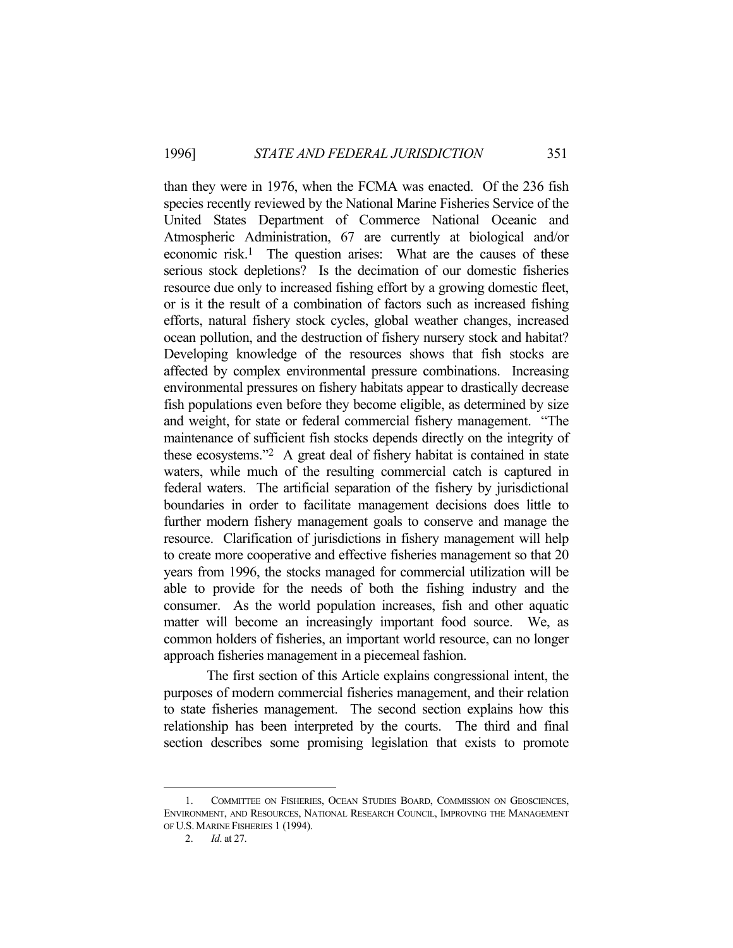than they were in 1976, when the FCMA was enacted. Of the 236 fish species recently reviewed by the National Marine Fisheries Service of the United States Department of Commerce National Oceanic and Atmospheric Administration, 67 are currently at biological and/or economic risk.<sup>1</sup> The question arises: What are the causes of these serious stock depletions? Is the decimation of our domestic fisheries resource due only to increased fishing effort by a growing domestic fleet, or is it the result of a combination of factors such as increased fishing efforts, natural fishery stock cycles, global weather changes, increased ocean pollution, and the destruction of fishery nursery stock and habitat? Developing knowledge of the resources shows that fish stocks are affected by complex environmental pressure combinations. Increasing environmental pressures on fishery habitats appear to drastically decrease fish populations even before they become eligible, as determined by size and weight, for state or federal commercial fishery management. "The maintenance of sufficient fish stocks depends directly on the integrity of these ecosystems."2 A great deal of fishery habitat is contained in state waters, while much of the resulting commercial catch is captured in federal waters. The artificial separation of the fishery by jurisdictional boundaries in order to facilitate management decisions does little to further modern fishery management goals to conserve and manage the resource. Clarification of jurisdictions in fishery management will help to create more cooperative and effective fisheries management so that 20 years from 1996, the stocks managed for commercial utilization will be able to provide for the needs of both the fishing industry and the consumer. As the world population increases, fish and other aquatic matter will become an increasingly important food source. We, as common holders of fisheries, an important world resource, can no longer approach fisheries management in a piecemeal fashion.

 The first section of this Article explains congressional intent, the purposes of modern commercial fisheries management, and their relation to state fisheries management. The second section explains how this relationship has been interpreted by the courts. The third and final section describes some promising legislation that exists to promote

 <sup>1.</sup> COMMITTEE ON FISHERIES, OCEAN STUDIES BOARD, COMMISSION ON GEOSCIENCES, ENVIRONMENT, AND RESOURCES, NATIONAL RESEARCH COUNCIL, IMPROVING THE MANAGEMENT OF U.S. MARINE FISHERIES 1 (1994).

 <sup>2.</sup> *Id*. at 27.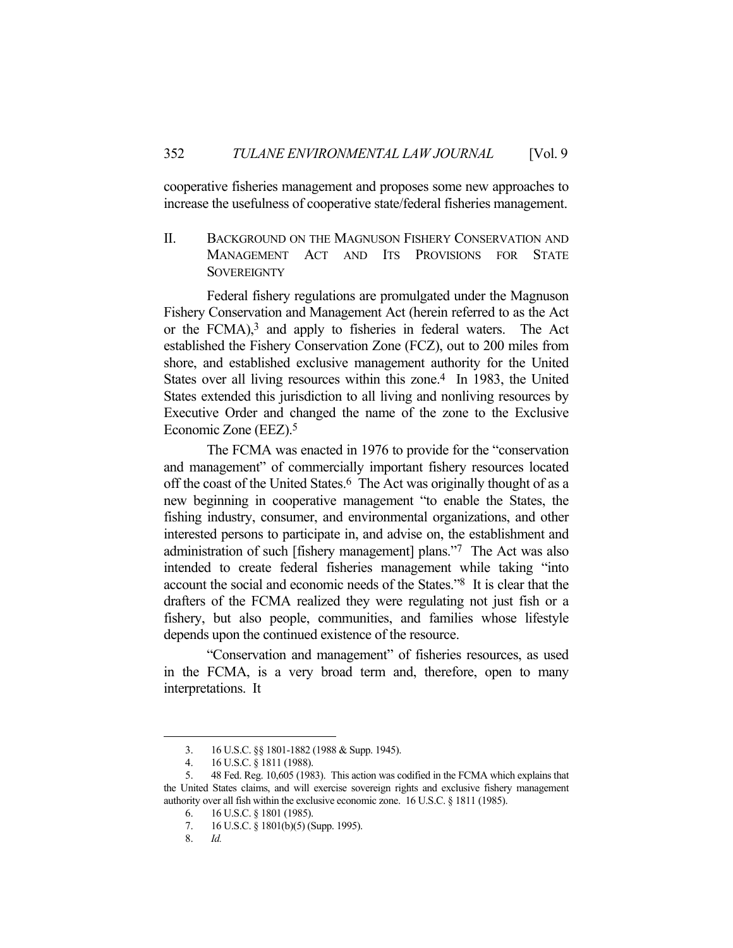cooperative fisheries management and proposes some new approaches to increase the usefulness of cooperative state/federal fisheries management.

II. BACKGROUND ON THE MAGNUSON FISHERY CONSERVATION AND MANAGEMENT ACT AND ITS PROVISIONS FOR STATE **SOVEREIGNTY** 

 Federal fishery regulations are promulgated under the Magnuson Fishery Conservation and Management Act (herein referred to as the Act or the FCMA),<sup>3</sup> and apply to fisheries in federal waters. The Act established the Fishery Conservation Zone (FCZ), out to 200 miles from shore, and established exclusive management authority for the United States over all living resources within this zone.<sup>4</sup> In 1983, the United States extended this jurisdiction to all living and nonliving resources by Executive Order and changed the name of the zone to the Exclusive Economic Zone (EEZ).5

 The FCMA was enacted in 1976 to provide for the "conservation and management" of commercially important fishery resources located off the coast of the United States.<sup>6</sup> The Act was originally thought of as a new beginning in cooperative management "to enable the States, the fishing industry, consumer, and environmental organizations, and other interested persons to participate in, and advise on, the establishment and administration of such [fishery management] plans."7 The Act was also intended to create federal fisheries management while taking "into account the social and economic needs of the States."8 It is clear that the drafters of the FCMA realized they were regulating not just fish or a fishery, but also people, communities, and families whose lifestyle depends upon the continued existence of the resource.

 "Conservation and management" of fisheries resources, as used in the FCMA, is a very broad term and, therefore, open to many interpretations. It

 <sup>3. 16</sup> U.S.C. §§ 1801-1882 (1988 & Supp. 1945).

 <sup>4. 16</sup> U.S.C. § 1811 (1988).

 <sup>5. 48</sup> Fed. Reg. 10,605 (1983). This action was codified in the FCMA which explains that the United States claims, and will exercise sovereign rights and exclusive fishery management authority over all fish within the exclusive economic zone. 16 U.S.C. § 1811 (1985).

 <sup>6. 16</sup> U.S.C. § 1801 (1985).

 <sup>7. 16</sup> U.S.C. § 1801(b)(5) (Supp. 1995).

 <sup>8.</sup> *Id.*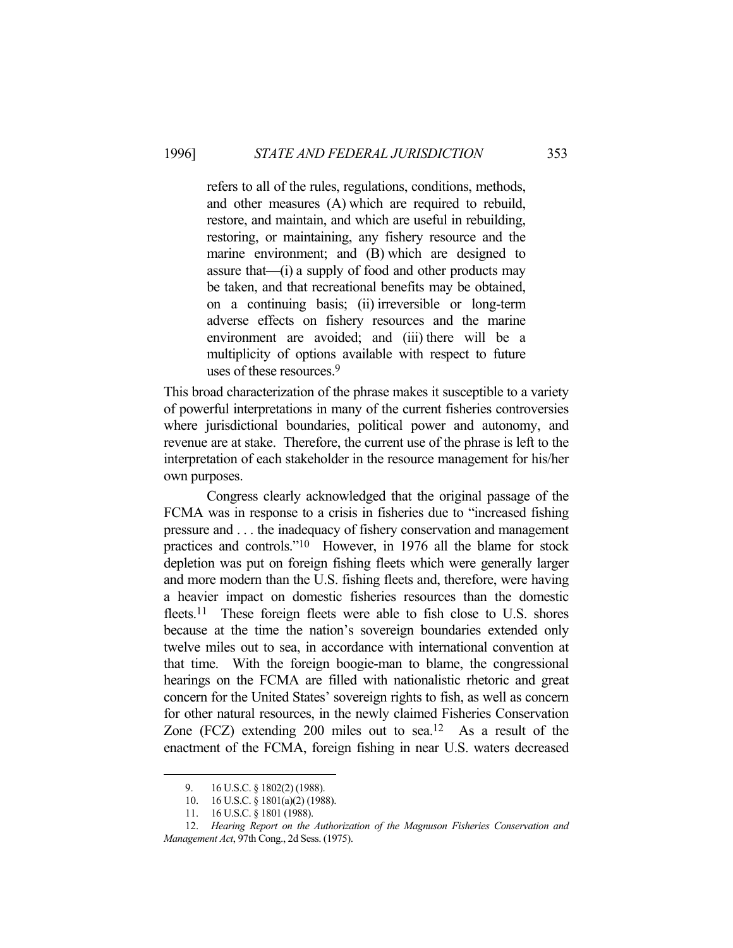refers to all of the rules, regulations, conditions, methods, and other measures (A) which are required to rebuild, restore, and maintain, and which are useful in rebuilding, restoring, or maintaining, any fishery resource and the marine environment; and (B) which are designed to assure that—(i) a supply of food and other products may be taken, and that recreational benefits may be obtained, on a continuing basis; (ii) irreversible or long-term adverse effects on fishery resources and the marine environment are avoided; and (iii) there will be a multiplicity of options available with respect to future uses of these resources.9

This broad characterization of the phrase makes it susceptible to a variety of powerful interpretations in many of the current fisheries controversies where jurisdictional boundaries, political power and autonomy, and revenue are at stake. Therefore, the current use of the phrase is left to the interpretation of each stakeholder in the resource management for his/her own purposes.

 Congress clearly acknowledged that the original passage of the FCMA was in response to a crisis in fisheries due to "increased fishing pressure and . . . the inadequacy of fishery conservation and management practices and controls."10 However, in 1976 all the blame for stock depletion was put on foreign fishing fleets which were generally larger and more modern than the U.S. fishing fleets and, therefore, were having a heavier impact on domestic fisheries resources than the domestic fleets.<sup>11</sup> These foreign fleets were able to fish close to U.S. shores because at the time the nation's sovereign boundaries extended only twelve miles out to sea, in accordance with international convention at that time. With the foreign boogie-man to blame, the congressional hearings on the FCMA are filled with nationalistic rhetoric and great concern for the United States' sovereign rights to fish, as well as concern for other natural resources, in the newly claimed Fisheries Conservation Zone  $(FCZ)$  extending 200 miles out to sea.<sup>12</sup> As a result of the enactment of the FCMA, foreign fishing in near U.S. waters decreased

<sup>9. 16</sup> U.S.C. § 1802(2) (1988).

 <sup>10. 16</sup> U.S.C. § 1801(a)(2) (1988).

 <sup>11. 16</sup> U.S.C. § 1801 (1988).

 <sup>12.</sup> *Hearing Report on the Authorization of the Magnuson Fisheries Conservation and Management Act*, 97th Cong., 2d Sess. (1975).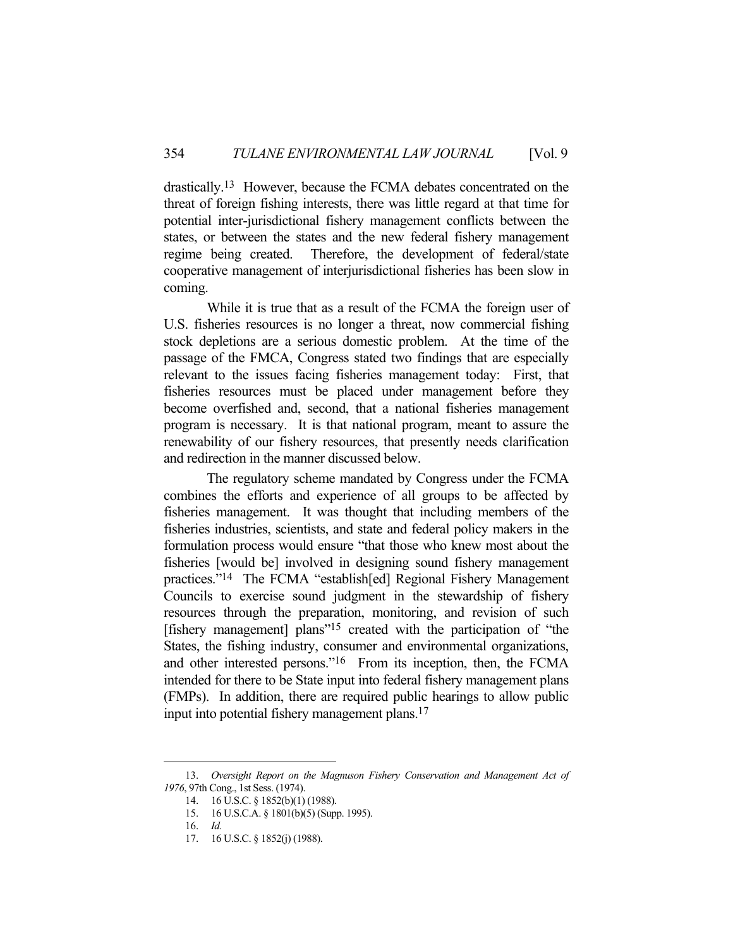drastically.13 However, because the FCMA debates concentrated on the threat of foreign fishing interests, there was little regard at that time for potential inter-jurisdictional fishery management conflicts between the states, or between the states and the new federal fishery management regime being created. Therefore, the development of federal/state cooperative management of interjurisdictional fisheries has been slow in coming.

 While it is true that as a result of the FCMA the foreign user of U.S. fisheries resources is no longer a threat, now commercial fishing stock depletions are a serious domestic problem. At the time of the passage of the FMCA, Congress stated two findings that are especially relevant to the issues facing fisheries management today: First, that fisheries resources must be placed under management before they become overfished and, second, that a national fisheries management program is necessary. It is that national program, meant to assure the renewability of our fishery resources, that presently needs clarification and redirection in the manner discussed below.

 The regulatory scheme mandated by Congress under the FCMA combines the efforts and experience of all groups to be affected by fisheries management. It was thought that including members of the fisheries industries, scientists, and state and federal policy makers in the formulation process would ensure "that those who knew most about the fisheries [would be] involved in designing sound fishery management practices."14 The FCMA "establish[ed] Regional Fishery Management Councils to exercise sound judgment in the stewardship of fishery resources through the preparation, monitoring, and revision of such [fishery management] plans"15 created with the participation of "the States, the fishing industry, consumer and environmental organizations, and other interested persons."16 From its inception, then, the FCMA intended for there to be State input into federal fishery management plans (FMPs). In addition, there are required public hearings to allow public input into potential fishery management plans.17

 <sup>13.</sup> *Oversight Report on the Magnuson Fishery Conservation and Management Act of 1976*, 97th Cong., 1st Sess. (1974).

 <sup>14. 16</sup> U.S.C. § 1852(b)(1) (1988).

 <sup>15. 16</sup> U.S.C.A. § 1801(b)(5) (Supp. 1995).

 <sup>16.</sup> *Id.*

 <sup>17. 16</sup> U.S.C. § 1852(j) (1988).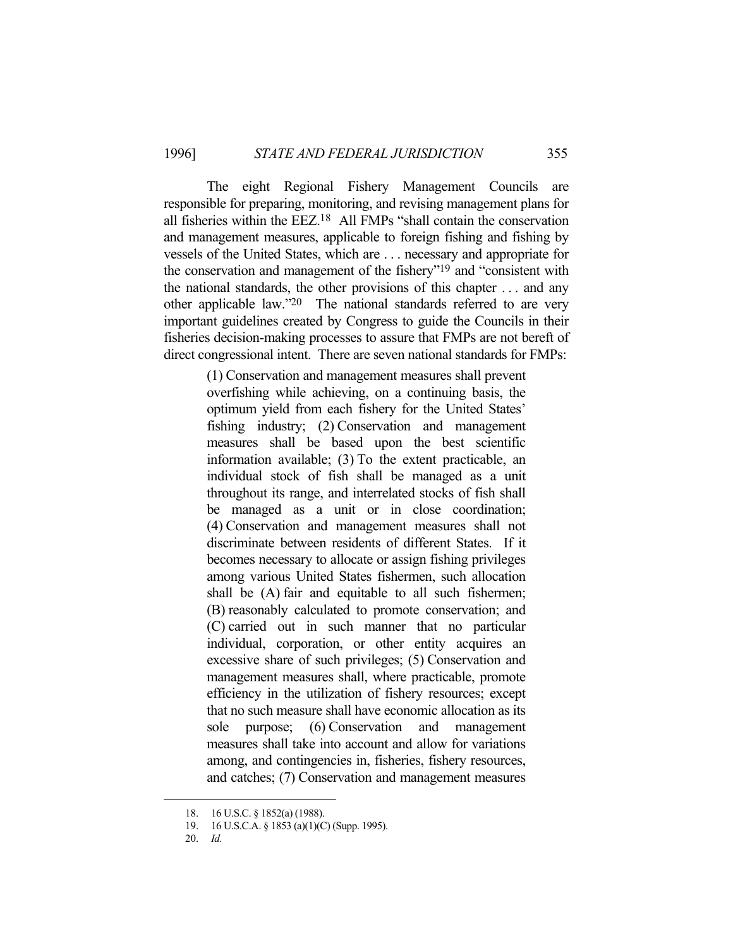The eight Regional Fishery Management Councils are responsible for preparing, monitoring, and revising management plans for all fisheries within the EEZ.18 All FMPs "shall contain the conservation and management measures, applicable to foreign fishing and fishing by vessels of the United States, which are . . . necessary and appropriate for the conservation and management of the fishery"19 and "consistent with the national standards, the other provisions of this chapter . . . and any other applicable law."20 The national standards referred to are very important guidelines created by Congress to guide the Councils in their fisheries decision-making processes to assure that FMPs are not bereft of direct congressional intent. There are seven national standards for FMPs:

> (1) Conservation and management measures shall prevent overfishing while achieving, on a continuing basis, the optimum yield from each fishery for the United States' fishing industry; (2) Conservation and management measures shall be based upon the best scientific information available; (3) To the extent practicable, an individual stock of fish shall be managed as a unit throughout its range, and interrelated stocks of fish shall be managed as a unit or in close coordination; (4) Conservation and management measures shall not discriminate between residents of different States. If it becomes necessary to allocate or assign fishing privileges among various United States fishermen, such allocation shall be (A) fair and equitable to all such fishermen; (B) reasonably calculated to promote conservation; and (C) carried out in such manner that no particular individual, corporation, or other entity acquires an excessive share of such privileges; (5) Conservation and management measures shall, where practicable, promote efficiency in the utilization of fishery resources; except that no such measure shall have economic allocation as its sole purpose; (6) Conservation and management measures shall take into account and allow for variations among, and contingencies in, fisheries, fishery resources, and catches; (7) Conservation and management measures

 <sup>18. 16</sup> U.S.C. § 1852(a) (1988).

 <sup>19. 16</sup> U.S.C.A. § 1853 (a)(1)(C) (Supp. 1995).

 <sup>20.</sup> *Id.*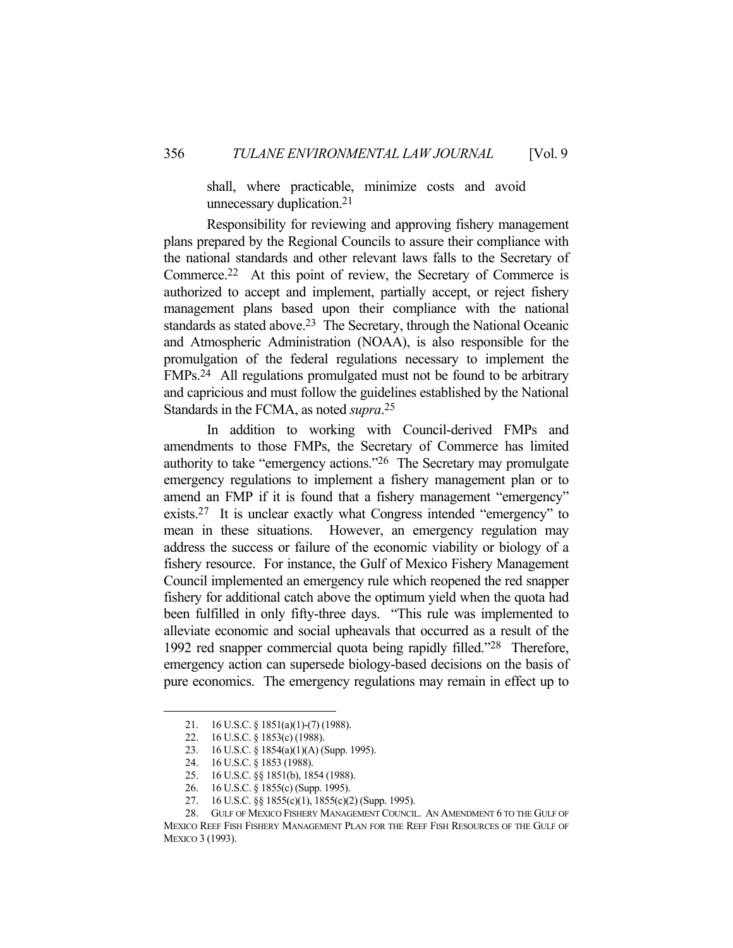shall, where practicable, minimize costs and avoid unnecessary duplication.21

 Responsibility for reviewing and approving fishery management plans prepared by the Regional Councils to assure their compliance with the national standards and other relevant laws falls to the Secretary of Commerce.22 At this point of review, the Secretary of Commerce is authorized to accept and implement, partially accept, or reject fishery management plans based upon their compliance with the national standards as stated above.<sup>23</sup> The Secretary, through the National Oceanic and Atmospheric Administration (NOAA), is also responsible for the promulgation of the federal regulations necessary to implement the FMPs.24 All regulations promulgated must not be found to be arbitrary and capricious and must follow the guidelines established by the National Standards in the FCMA, as noted *supra*. 25

 In addition to working with Council-derived FMPs and amendments to those FMPs, the Secretary of Commerce has limited authority to take "emergency actions."26 The Secretary may promulgate emergency regulations to implement a fishery management plan or to amend an FMP if it is found that a fishery management "emergency" exists.27 It is unclear exactly what Congress intended "emergency" to mean in these situations. However, an emergency regulation may address the success or failure of the economic viability or biology of a fishery resource. For instance, the Gulf of Mexico Fishery Management Council implemented an emergency rule which reopened the red snapper fishery for additional catch above the optimum yield when the quota had been fulfilled in only fifty-three days. "This rule was implemented to alleviate economic and social upheavals that occurred as a result of the 1992 red snapper commercial quota being rapidly filled."28 Therefore, emergency action can supersede biology-based decisions on the basis of pure economics. The emergency regulations may remain in effect up to

<sup>21. 16</sup> U.S.C. § 1851(a)(1)-(7) (1988).

 <sup>22. 16</sup> U.S.C. § 1853(c) (1988).

 <sup>23. 16</sup> U.S.C. § 1854(a)(1)(A) (Supp. 1995).

 <sup>24. 16</sup> U.S.C. § 1853 (1988).

 <sup>25. 16</sup> U.S.C. §§ 1851(b), 1854 (1988).

 <sup>26. 16</sup> U.S.C. § 1855(c) (Supp. 1995).

 <sup>27. 16</sup> U.S.C. §§ 1855(c)(1), 1855(c)(2) (Supp. 1995).

 <sup>28.</sup> GULF OF MEXICO FISHERY MANAGEMENT COUNCIL. AN AMENDMENT 6 TO THE GULF OF MEXICO REEF FISH FISHERY MANAGEMENT PLAN FOR THE REEF FISH RESOURCES OF THE GULF OF MEXICO 3 (1993).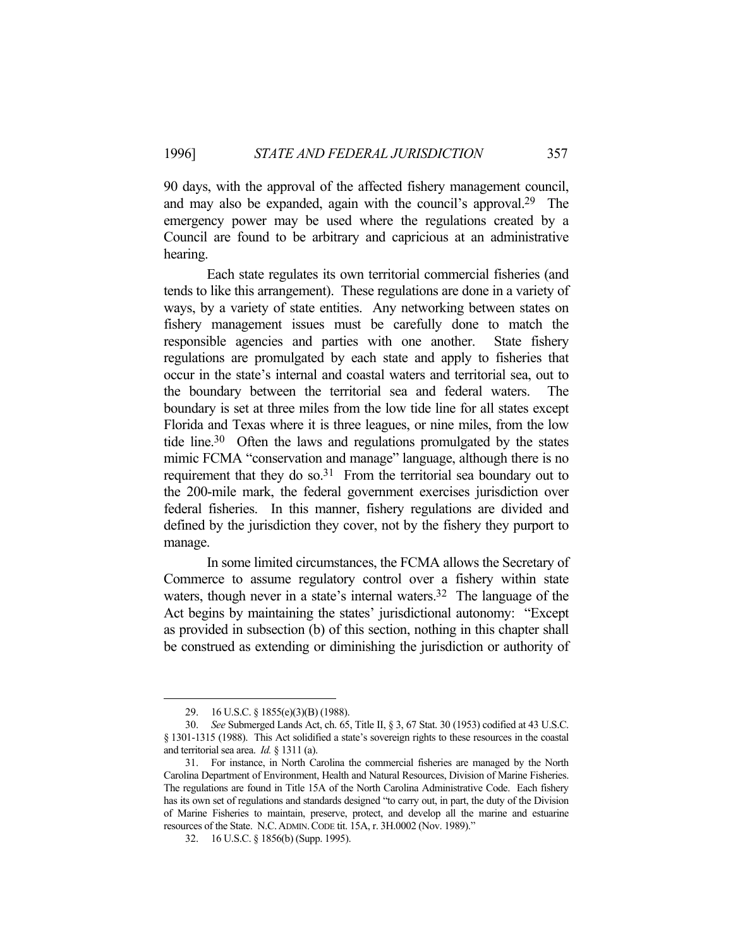90 days, with the approval of the affected fishery management council, and may also be expanded, again with the council's approval.29 The emergency power may be used where the regulations created by a Council are found to be arbitrary and capricious at an administrative hearing.

 Each state regulates its own territorial commercial fisheries (and tends to like this arrangement). These regulations are done in a variety of ways, by a variety of state entities. Any networking between states on fishery management issues must be carefully done to match the responsible agencies and parties with one another. State fishery regulations are promulgated by each state and apply to fisheries that occur in the state's internal and coastal waters and territorial sea, out to the boundary between the territorial sea and federal waters. The boundary is set at three miles from the low tide line for all states except Florida and Texas where it is three leagues, or nine miles, from the low tide line.30 Often the laws and regulations promulgated by the states mimic FCMA "conservation and manage" language, although there is no requirement that they do so. $31$  From the territorial sea boundary out to the 200-mile mark, the federal government exercises jurisdiction over federal fisheries. In this manner, fishery regulations are divided and defined by the jurisdiction they cover, not by the fishery they purport to manage.

 In some limited circumstances, the FCMA allows the Secretary of Commerce to assume regulatory control over a fishery within state waters, though never in a state's internal waters.<sup>32</sup> The language of the Act begins by maintaining the states' jurisdictional autonomy: "Except as provided in subsection (b) of this section, nothing in this chapter shall be construed as extending or diminishing the jurisdiction or authority of

 <sup>29. 16</sup> U.S.C. § 1855(e)(3)(B) (1988).

 <sup>30.</sup> *See* Submerged Lands Act, ch. 65, Title II, § 3, 67 Stat. 30 (1953) codified at 43 U.S.C. § 1301-1315 (1988). This Act solidified a state's sovereign rights to these resources in the coastal and territorial sea area. *Id.* § 1311 (a).

 <sup>31.</sup> For instance, in North Carolina the commercial fisheries are managed by the North Carolina Department of Environment, Health and Natural Resources, Division of Marine Fisheries. The regulations are found in Title 15A of the North Carolina Administrative Code. Each fishery has its own set of regulations and standards designed "to carry out, in part, the duty of the Division of Marine Fisheries to maintain, preserve, protect, and develop all the marine and estuarine resources of the State. N.C.ADMIN.CODE tit. 15A, r. 3H.0002 (Nov. 1989)."

 <sup>32. 16</sup> U.S.C. § 1856(b) (Supp. 1995).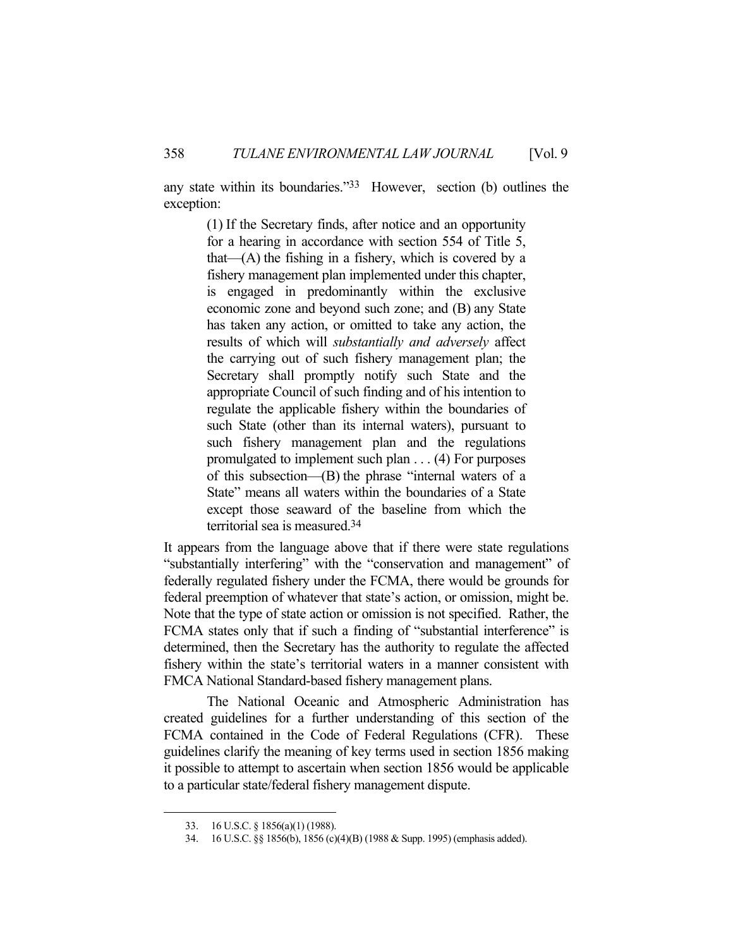any state within its boundaries."33 However, section (b) outlines the exception:

(1) If the Secretary finds, after notice and an opportunity for a hearing in accordance with section 554 of Title 5, that— $(A)$  the fishing in a fishery, which is covered by a fishery management plan implemented under this chapter, is engaged in predominantly within the exclusive economic zone and beyond such zone; and (B) any State has taken any action, or omitted to take any action, the results of which will *substantially and adversely* affect the carrying out of such fishery management plan; the Secretary shall promptly notify such State and the appropriate Council of such finding and of his intention to regulate the applicable fishery within the boundaries of such State (other than its internal waters), pursuant to such fishery management plan and the regulations promulgated to implement such plan . . . (4) For purposes of this subsection—(B) the phrase "internal waters of a State" means all waters within the boundaries of a State except those seaward of the baseline from which the territorial sea is measured.34

It appears from the language above that if there were state regulations "substantially interfering" with the "conservation and management" of federally regulated fishery under the FCMA, there would be grounds for federal preemption of whatever that state's action, or omission, might be. Note that the type of state action or omission is not specified. Rather, the FCMA states only that if such a finding of "substantial interference" is determined, then the Secretary has the authority to regulate the affected fishery within the state's territorial waters in a manner consistent with FMCA National Standard-based fishery management plans.

 The National Oceanic and Atmospheric Administration has created guidelines for a further understanding of this section of the FCMA contained in the Code of Federal Regulations (CFR). These guidelines clarify the meaning of key terms used in section 1856 making it possible to attempt to ascertain when section 1856 would be applicable to a particular state/federal fishery management dispute.

 <sup>33. 16</sup> U.S.C. § 1856(a)(1) (1988).

 <sup>34. 16</sup> U.S.C. §§ 1856(b), 1856 (c)(4)(B) (1988 & Supp. 1995) (emphasis added).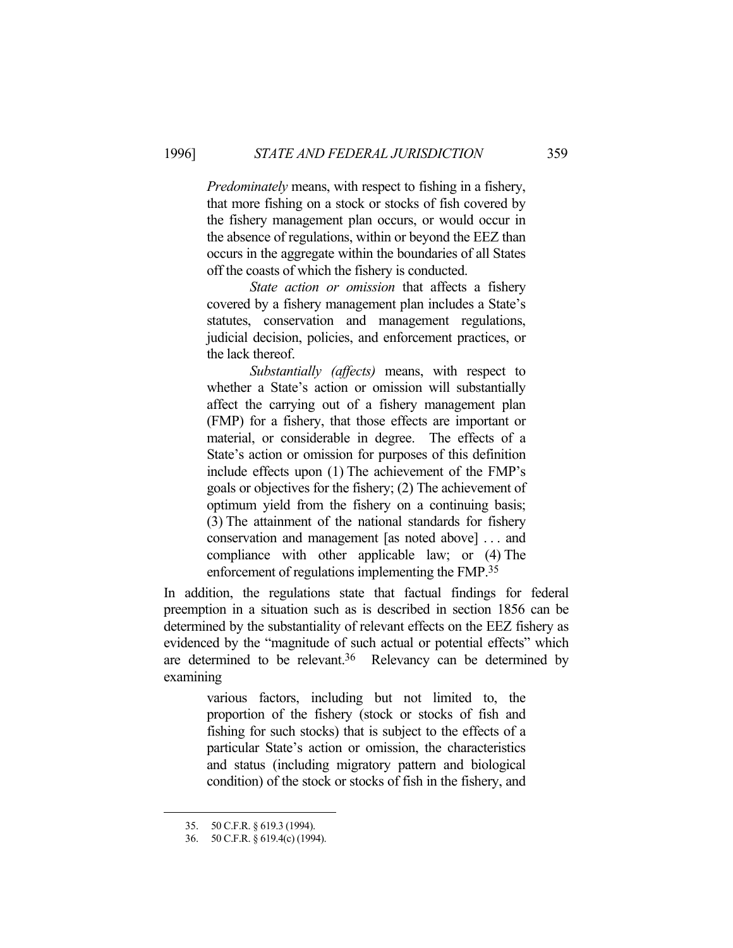*Predominately* means, with respect to fishing in a fishery, that more fishing on a stock or stocks of fish covered by the fishery management plan occurs, or would occur in the absence of regulations, within or beyond the EEZ than occurs in the aggregate within the boundaries of all States off the coasts of which the fishery is conducted.

 *State action or omission* that affects a fishery covered by a fishery management plan includes a State's statutes, conservation and management regulations, judicial decision, policies, and enforcement practices, or the lack thereof.

 *Substantially (affects)* means, with respect to whether a State's action or omission will substantially affect the carrying out of a fishery management plan (FMP) for a fishery, that those effects are important or material, or considerable in degree. The effects of a State's action or omission for purposes of this definition include effects upon (1) The achievement of the FMP's goals or objectives for the fishery; (2) The achievement of optimum yield from the fishery on a continuing basis; (3) The attainment of the national standards for fishery conservation and management [as noted above] . . . and compliance with other applicable law; or (4) The enforcement of regulations implementing the FMP.35

In addition, the regulations state that factual findings for federal preemption in a situation such as is described in section 1856 can be determined by the substantiality of relevant effects on the EEZ fishery as evidenced by the "magnitude of such actual or potential effects" which are determined to be relevant.<sup>36</sup> Relevancy can be determined by examining

> various factors, including but not limited to, the proportion of the fishery (stock or stocks of fish and fishing for such stocks) that is subject to the effects of a particular State's action or omission, the characteristics and status (including migratory pattern and biological condition) of the stock or stocks of fish in the fishery, and

 <sup>35. 50</sup> C.F.R. § 619.3 (1994).

 <sup>36. 50</sup> C.F.R. § 619.4(c) (1994).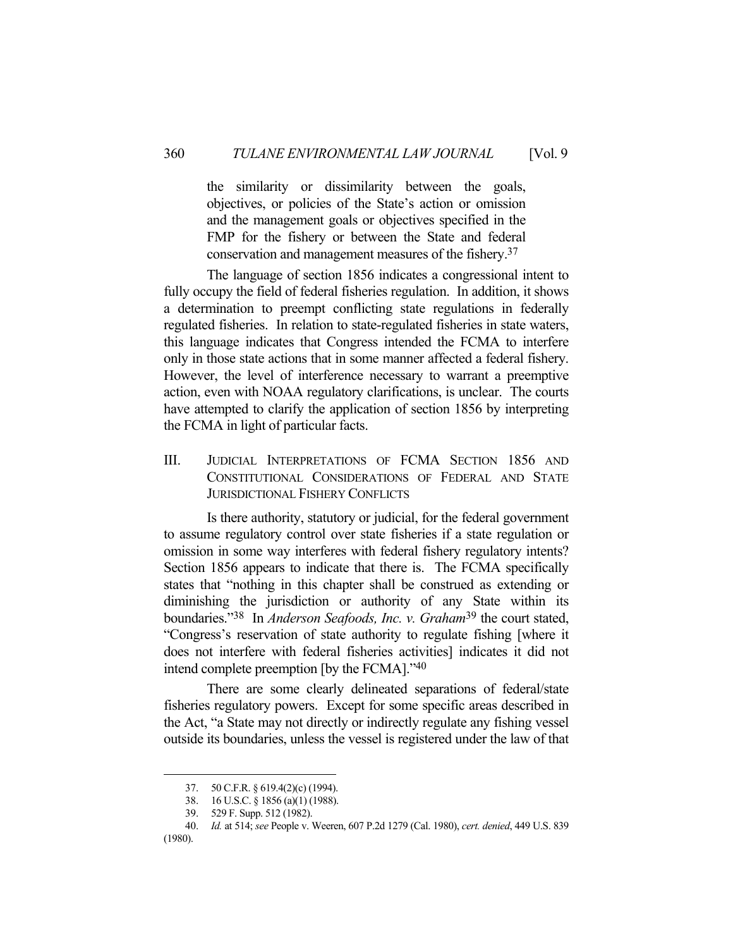the similarity or dissimilarity between the goals, objectives, or policies of the State's action or omission and the management goals or objectives specified in the FMP for the fishery or between the State and federal conservation and management measures of the fishery.37

 The language of section 1856 indicates a congressional intent to fully occupy the field of federal fisheries regulation. In addition, it shows a determination to preempt conflicting state regulations in federally regulated fisheries. In relation to state-regulated fisheries in state waters, this language indicates that Congress intended the FCMA to interfere only in those state actions that in some manner affected a federal fishery. However, the level of interference necessary to warrant a preemptive action, even with NOAA regulatory clarifications, is unclear. The courts have attempted to clarify the application of section 1856 by interpreting the FCMA in light of particular facts.

III. JUDICIAL INTERPRETATIONS OF FCMA SECTION 1856 AND CONSTITUTIONAL CONSIDERATIONS OF FEDERAL AND STATE JURISDICTIONAL FISHERY CONFLICTS

 Is there authority, statutory or judicial, for the federal government to assume regulatory control over state fisheries if a state regulation or omission in some way interferes with federal fishery regulatory intents? Section 1856 appears to indicate that there is. The FCMA specifically states that "nothing in this chapter shall be construed as extending or diminishing the jurisdiction or authority of any State within its boundaries."38 In *Anderson Seafoods, Inc. v. Graham*39 the court stated, "Congress's reservation of state authority to regulate fishing [where it does not interfere with federal fisheries activities] indicates it did not intend complete preemption [by the FCMA]."40

 There are some clearly delineated separations of federal/state fisheries regulatory powers. Except for some specific areas described in the Act, "a State may not directly or indirectly regulate any fishing vessel outside its boundaries, unless the vessel is registered under the law of that

 <sup>37. 50</sup> C.F.R. § 619.4(2)(c) (1994).

 <sup>38. 16</sup> U.S.C. § 1856 (a)(1) (1988).

 <sup>39. 529</sup> F. Supp. 512 (1982).

 <sup>40.</sup> *Id.* at 514; *see* People v. Weeren, 607 P.2d 1279 (Cal. 1980), *cert. denied*, 449 U.S. 839 (1980).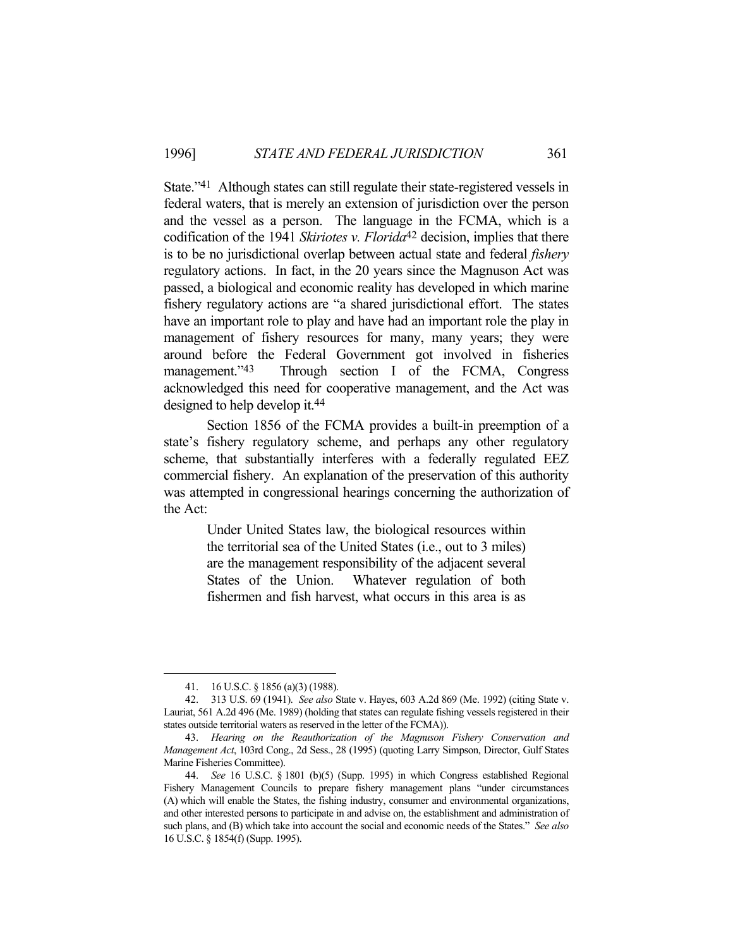State."41 Although states can still regulate their state-registered vessels in federal waters, that is merely an extension of jurisdiction over the person and the vessel as a person. The language in the FCMA, which is a codification of the 1941 *Skiriotes v. Florida*42 decision, implies that there is to be no jurisdictional overlap between actual state and federal *fishery* regulatory actions. In fact, in the 20 years since the Magnuson Act was passed, a biological and economic reality has developed in which marine fishery regulatory actions are "a shared jurisdictional effort. The states have an important role to play and have had an important role the play in management of fishery resources for many, many years; they were around before the Federal Government got involved in fisheries management."43 Through section I of the FCMA, Congress acknowledged this need for cooperative management, and the Act was designed to help develop it.44

 Section 1856 of the FCMA provides a built-in preemption of a state's fishery regulatory scheme, and perhaps any other regulatory scheme, that substantially interferes with a federally regulated EEZ commercial fishery. An explanation of the preservation of this authority was attempted in congressional hearings concerning the authorization of the Act:

> Under United States law, the biological resources within the territorial sea of the United States (i.e., out to 3 miles) are the management responsibility of the adjacent several States of the Union. Whatever regulation of both fishermen and fish harvest, what occurs in this area is as

 <sup>41. 16</sup> U.S.C. § 1856 (a)(3) (1988).

 <sup>42. 313</sup> U.S. 69 (1941). *See also* State v. Hayes, 603 A.2d 869 (Me. 1992) (citing State v. Lauriat, 561 A.2d 496 (Me. 1989) (holding that states can regulate fishing vessels registered in their states outside territorial waters as reserved in the letter of the FCMA)).

 <sup>43.</sup> *Hearing on the Reauthorization of the Magnuson Fishery Conservation and Management Act*, 103rd Cong., 2d Sess., 28 (1995) (quoting Larry Simpson, Director, Gulf States Marine Fisheries Committee).

 <sup>44.</sup> *See* 16 U.S.C. § 1801 (b)(5) (Supp. 1995) in which Congress established Regional Fishery Management Councils to prepare fishery management plans "under circumstances (A) which will enable the States, the fishing industry, consumer and environmental organizations, and other interested persons to participate in and advise on, the establishment and administration of such plans, and (B) which take into account the social and economic needs of the States." *See also* 16 U.S.C. § 1854(f) (Supp. 1995).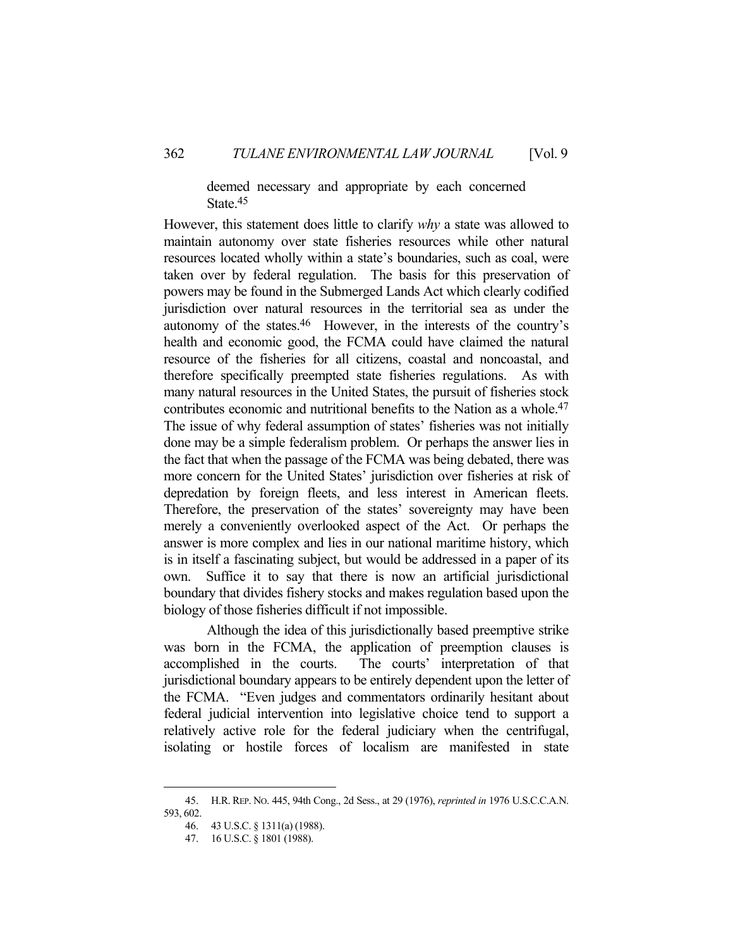deemed necessary and appropriate by each concerned State.45

However, this statement does little to clarify *why* a state was allowed to maintain autonomy over state fisheries resources while other natural resources located wholly within a state's boundaries, such as coal, were taken over by federal regulation. The basis for this preservation of powers may be found in the Submerged Lands Act which clearly codified jurisdiction over natural resources in the territorial sea as under the autonomy of the states.46 However, in the interests of the country's health and economic good, the FCMA could have claimed the natural resource of the fisheries for all citizens, coastal and noncoastal, and therefore specifically preempted state fisheries regulations. As with many natural resources in the United States, the pursuit of fisheries stock contributes economic and nutritional benefits to the Nation as a whole.47 The issue of why federal assumption of states' fisheries was not initially done may be a simple federalism problem. Or perhaps the answer lies in the fact that when the passage of the FCMA was being debated, there was more concern for the United States' jurisdiction over fisheries at risk of depredation by foreign fleets, and less interest in American fleets. Therefore, the preservation of the states' sovereignty may have been merely a conveniently overlooked aspect of the Act. Or perhaps the answer is more complex and lies in our national maritime history, which is in itself a fascinating subject, but would be addressed in a paper of its own. Suffice it to say that there is now an artificial jurisdictional boundary that divides fishery stocks and makes regulation based upon the biology of those fisheries difficult if not impossible.

 Although the idea of this jurisdictionally based preemptive strike was born in the FCMA, the application of preemption clauses is accomplished in the courts. The courts' interpretation of that jurisdictional boundary appears to be entirely dependent upon the letter of the FCMA. "Even judges and commentators ordinarily hesitant about federal judicial intervention into legislative choice tend to support a relatively active role for the federal judiciary when the centrifugal, isolating or hostile forces of localism are manifested in state

 <sup>45.</sup> H.R. REP. NO. 445, 94th Cong., 2d Sess., at 29 (1976), *reprinted in* 1976 U.S.C.C.A.N. 593, 602.

 <sup>46. 43</sup> U.S.C. § 1311(a) (1988).

 <sup>47. 16</sup> U.S.C. § 1801 (1988).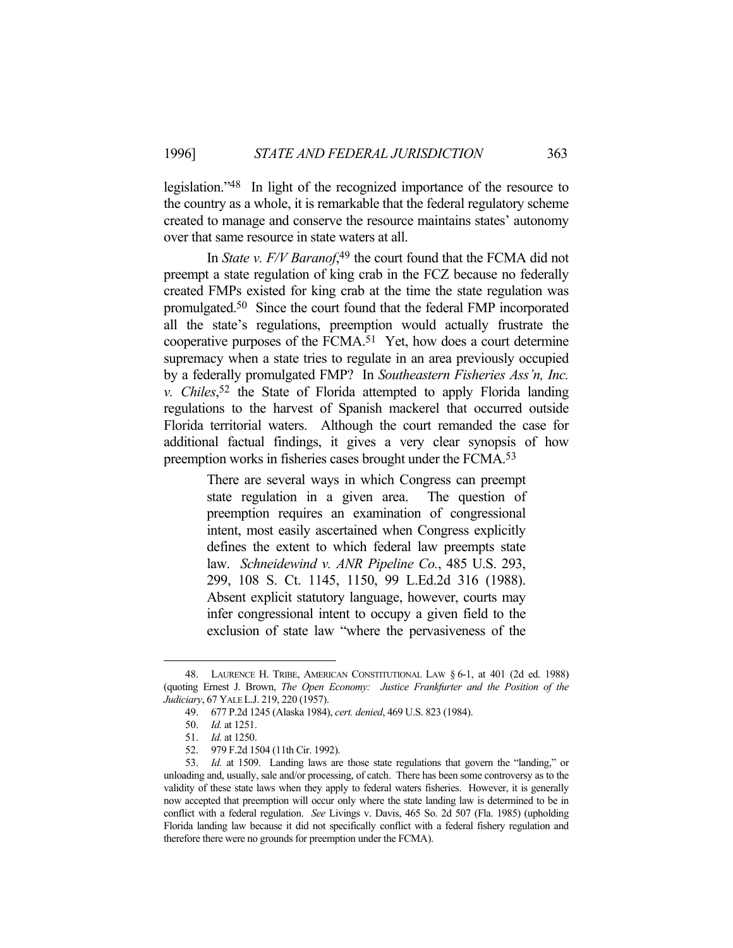legislation."48 In light of the recognized importance of the resource to the country as a whole, it is remarkable that the federal regulatory scheme created to manage and conserve the resource maintains states' autonomy over that same resource in state waters at all.

In *State v. F/V Baranof*,<sup>49</sup> the court found that the FCMA did not preempt a state regulation of king crab in the FCZ because no federally created FMPs existed for king crab at the time the state regulation was promulgated.50 Since the court found that the federal FMP incorporated all the state's regulations, preemption would actually frustrate the cooperative purposes of the FCMA.51 Yet, how does a court determine supremacy when a state tries to regulate in an area previously occupied by a federally promulgated FMP? In *Southeastern Fisheries Ass'n, Inc. v. Chiles*, 52 the State of Florida attempted to apply Florida landing regulations to the harvest of Spanish mackerel that occurred outside Florida territorial waters. Although the court remanded the case for additional factual findings, it gives a very clear synopsis of how preemption works in fisheries cases brought under the FCMA.53

> There are several ways in which Congress can preempt state regulation in a given area. The question of preemption requires an examination of congressional intent, most easily ascertained when Congress explicitly defines the extent to which federal law preempts state law. *Schneidewind v. ANR Pipeline Co.*, 485 U.S. 293, 299, 108 S. Ct. 1145, 1150, 99 L.Ed.2d 316 (1988). Absent explicit statutory language, however, courts may infer congressional intent to occupy a given field to the exclusion of state law "where the pervasiveness of the

 <sup>48.</sup> LAURENCE H. TRIBE, AMERICAN CONSTITUTIONAL LAW § 6-1, at 401 (2d ed. 1988) (quoting Ernest J. Brown, *The Open Economy: Justice Frankfurter and the Position of the Judiciary*, 67 YALE L.J. 219, 220 (1957).

 <sup>49. 677</sup> P.2d 1245 (Alaska 1984), *cert. denied*, 469 U.S. 823 (1984).

 <sup>50.</sup> *Id.* at 1251.

 <sup>51.</sup> *Id.* at 1250.

 <sup>52. 979</sup> F.2d 1504 (11th Cir. 1992).

 <sup>53.</sup> *Id.* at 1509. Landing laws are those state regulations that govern the "landing," or unloading and, usually, sale and/or processing, of catch. There has been some controversy as to the validity of these state laws when they apply to federal waters fisheries. However, it is generally now accepted that preemption will occur only where the state landing law is determined to be in conflict with a federal regulation. *See* Livings v. Davis, 465 So. 2d 507 (Fla. 1985) (upholding Florida landing law because it did not specifically conflict with a federal fishery regulation and therefore there were no grounds for preemption under the FCMA).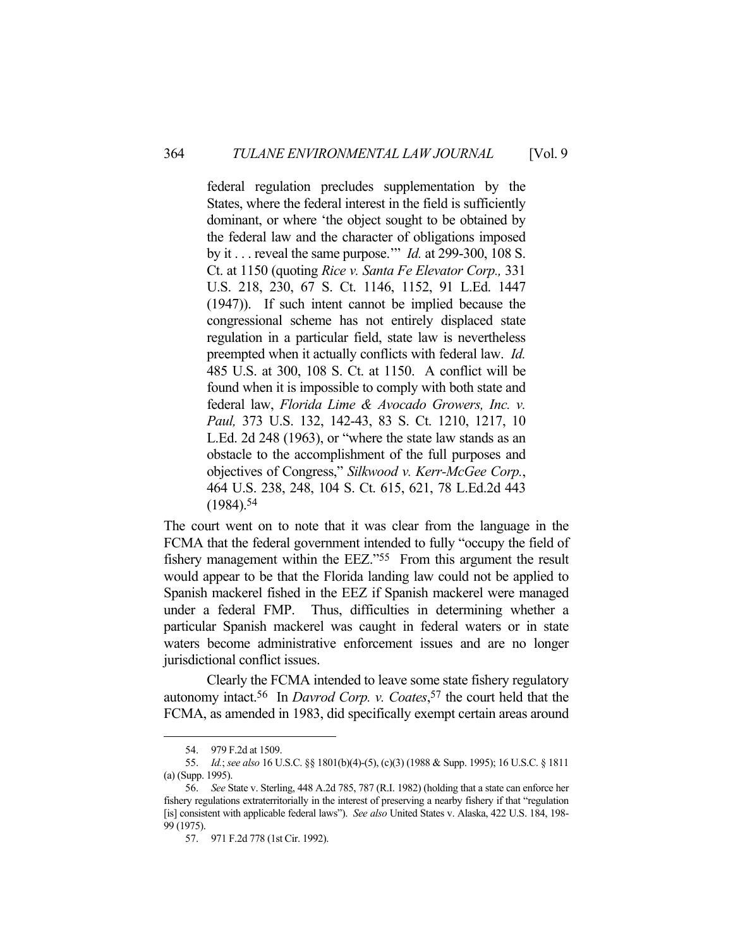federal regulation precludes supplementation by the States, where the federal interest in the field is sufficiently dominant, or where 'the object sought to be obtained by the federal law and the character of obligations imposed by it . . . reveal the same purpose.'" *Id.* at 299-300, 108 S. Ct. at 1150 (quoting *Rice v. Santa Fe Elevator Corp.,* 331 U.S. 218, 230, 67 S. Ct. 1146, 1152, 91 L.Ed. 1447 (1947)). If such intent cannot be implied because the congressional scheme has not entirely displaced state regulation in a particular field, state law is nevertheless preempted when it actually conflicts with federal law. *Id.* 485 U.S. at 300, 108 S. Ct. at 1150. A conflict will be found when it is impossible to comply with both state and federal law, *Florida Lime & Avocado Growers, Inc. v. Paul,* 373 U.S. 132, 142-43, 83 S. Ct. 1210, 1217, 10 L.Ed. 2d 248 (1963), or "where the state law stands as an obstacle to the accomplishment of the full purposes and objectives of Congress," *Silkwood v. Kerr-McGee Corp.*, 464 U.S. 238, 248, 104 S. Ct. 615, 621, 78 L.Ed.2d 443  $(1984).54$ 

The court went on to note that it was clear from the language in the FCMA that the federal government intended to fully "occupy the field of fishery management within the EEZ."55 From this argument the result would appear to be that the Florida landing law could not be applied to Spanish mackerel fished in the EEZ if Spanish mackerel were managed under a federal FMP. Thus, difficulties in determining whether a particular Spanish mackerel was caught in federal waters or in state waters become administrative enforcement issues and are no longer jurisdictional conflict issues.

 Clearly the FCMA intended to leave some state fishery regulatory autonomy intact.56 In *Davrod Corp. v. Coates*, 57 the court held that the FCMA, as amended in 1983, did specifically exempt certain areas around

 <sup>54. 979</sup> F.2d at 1509.

 <sup>55.</sup> *Id.*; *see also* 16 U.S.C. §§ 1801(b)(4)-(5), (c)(3) (1988 & Supp. 1995); 16 U.S.C. § 1811 (a) (Supp. 1995).

 <sup>56.</sup> *See* State v. Sterling, 448 A.2d 785, 787 (R.I. 1982) (holding that a state can enforce her fishery regulations extraterritorially in the interest of preserving a nearby fishery if that "regulation [is] consistent with applicable federal laws"). *See also* United States v. Alaska, 422 U.S. 184, 198- 99 (1975).

 <sup>57. 971</sup> F.2d 778 (1st Cir. 1992).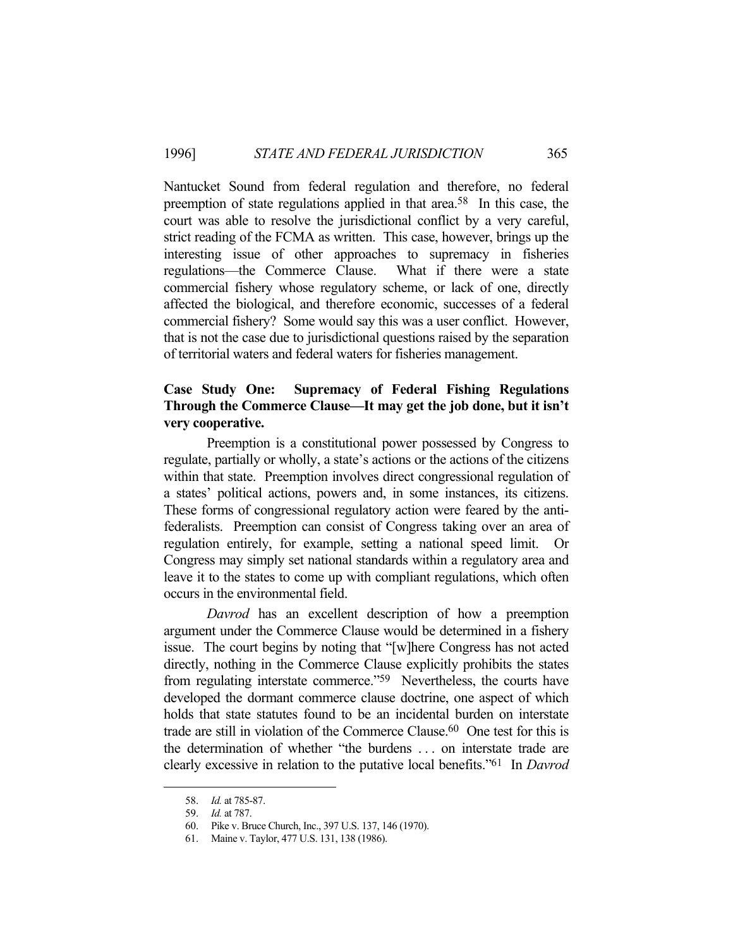Nantucket Sound from federal regulation and therefore, no federal preemption of state regulations applied in that area.58 In this case, the court was able to resolve the jurisdictional conflict by a very careful, strict reading of the FCMA as written. This case, however, brings up the interesting issue of other approaches to supremacy in fisheries regulations—the Commerce Clause. What if there were a state commercial fishery whose regulatory scheme, or lack of one, directly affected the biological, and therefore economic, successes of a federal commercial fishery? Some would say this was a user conflict. However, that is not the case due to jurisdictional questions raised by the separation of territorial waters and federal waters for fisheries management.

# **Case Study One: Supremacy of Federal Fishing Regulations Through the Commerce Clause—It may get the job done, but it isn't very cooperative.**

 Preemption is a constitutional power possessed by Congress to regulate, partially or wholly, a state's actions or the actions of the citizens within that state. Preemption involves direct congressional regulation of a states' political actions, powers and, in some instances, its citizens. These forms of congressional regulatory action were feared by the antifederalists. Preemption can consist of Congress taking over an area of regulation entirely, for example, setting a national speed limit. Or Congress may simply set national standards within a regulatory area and leave it to the states to come up with compliant regulations, which often occurs in the environmental field.

 *Davrod* has an excellent description of how a preemption argument under the Commerce Clause would be determined in a fishery issue. The court begins by noting that "[w]here Congress has not acted directly, nothing in the Commerce Clause explicitly prohibits the states from regulating interstate commerce."59 Nevertheless, the courts have developed the dormant commerce clause doctrine, one aspect of which holds that state statutes found to be an incidental burden on interstate trade are still in violation of the Commerce Clause.60 One test for this is the determination of whether "the burdens . . . on interstate trade are clearly excessive in relation to the putative local benefits."61 In *Davrod*

 <sup>58.</sup> *Id.* at 785-87.

 <sup>59.</sup> *Id.* at 787.

 <sup>60.</sup> Pike v. Bruce Church, Inc., 397 U.S. 137, 146 (1970).

 <sup>61.</sup> Maine v. Taylor, 477 U.S. 131, 138 (1986).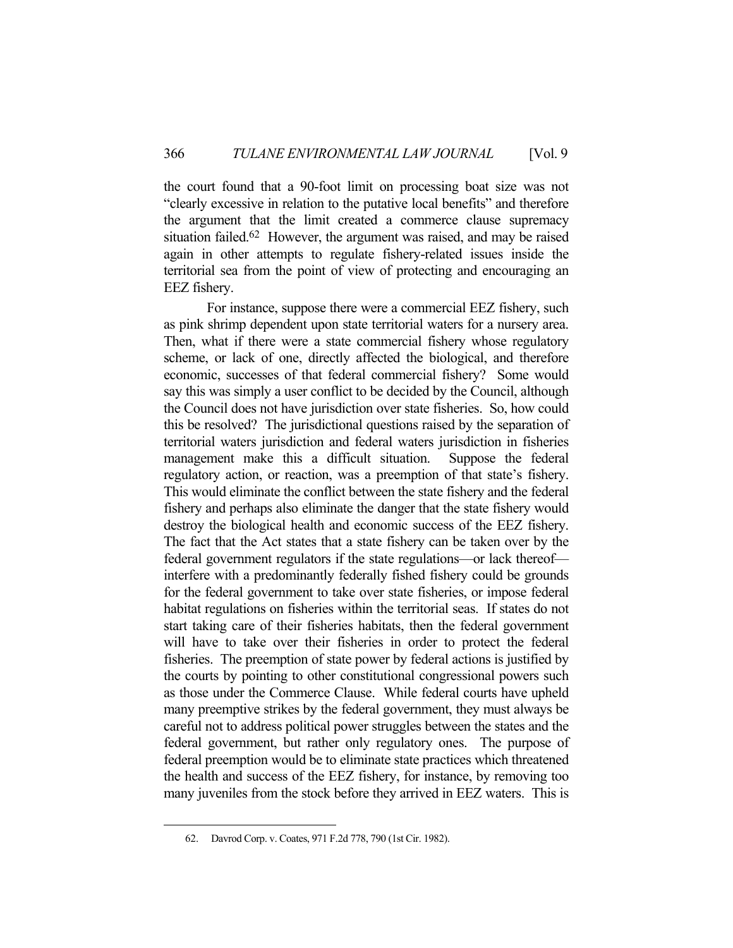the court found that a 90-foot limit on processing boat size was not "clearly excessive in relation to the putative local benefits" and therefore the argument that the limit created a commerce clause supremacy situation failed.62 However, the argument was raised, and may be raised again in other attempts to regulate fishery-related issues inside the territorial sea from the point of view of protecting and encouraging an EEZ fishery.

 For instance, suppose there were a commercial EEZ fishery, such as pink shrimp dependent upon state territorial waters for a nursery area. Then, what if there were a state commercial fishery whose regulatory scheme, or lack of one, directly affected the biological, and therefore economic, successes of that federal commercial fishery? Some would say this was simply a user conflict to be decided by the Council, although the Council does not have jurisdiction over state fisheries. So, how could this be resolved? The jurisdictional questions raised by the separation of territorial waters jurisdiction and federal waters jurisdiction in fisheries management make this a difficult situation. Suppose the federal regulatory action, or reaction, was a preemption of that state's fishery. This would eliminate the conflict between the state fishery and the federal fishery and perhaps also eliminate the danger that the state fishery would destroy the biological health and economic success of the EEZ fishery. The fact that the Act states that a state fishery can be taken over by the federal government regulators if the state regulations—or lack thereof interfere with a predominantly federally fished fishery could be grounds for the federal government to take over state fisheries, or impose federal habitat regulations on fisheries within the territorial seas. If states do not start taking care of their fisheries habitats, then the federal government will have to take over their fisheries in order to protect the federal fisheries. The preemption of state power by federal actions is justified by the courts by pointing to other constitutional congressional powers such as those under the Commerce Clause. While federal courts have upheld many preemptive strikes by the federal government, they must always be careful not to address political power struggles between the states and the federal government, but rather only regulatory ones. The purpose of federal preemption would be to eliminate state practices which threatened the health and success of the EEZ fishery, for instance, by removing too many juveniles from the stock before they arrived in EEZ waters. This is

 <sup>62.</sup> Davrod Corp. v. Coates, 971 F.2d 778, 790 (1st Cir. 1982).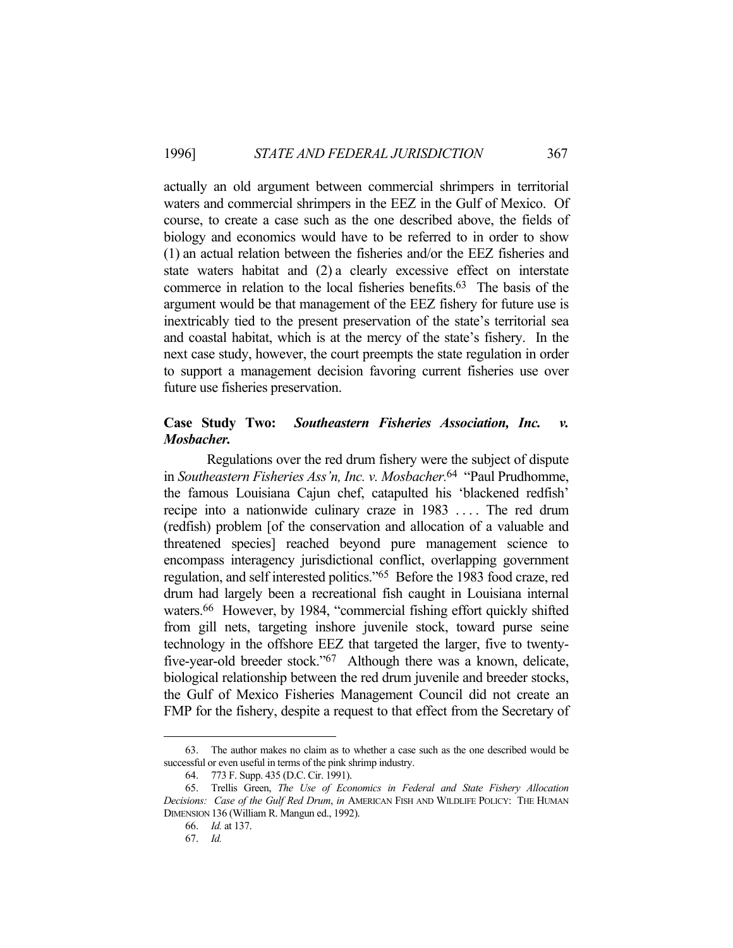actually an old argument between commercial shrimpers in territorial waters and commercial shrimpers in the EEZ in the Gulf of Mexico. Of course, to create a case such as the one described above, the fields of biology and economics would have to be referred to in order to show (1) an actual relation between the fisheries and/or the EEZ fisheries and state waters habitat and (2) a clearly excessive effect on interstate commerce in relation to the local fisheries benefits.63 The basis of the argument would be that management of the EEZ fishery for future use is inextricably tied to the present preservation of the state's territorial sea and coastal habitat, which is at the mercy of the state's fishery. In the next case study, however, the court preempts the state regulation in order to support a management decision favoring current fisheries use over future use fisheries preservation.

### **Case Study Two:** *Southeastern Fisheries Association, Inc. v. Mosbacher.*

 Regulations over the red drum fishery were the subject of dispute in *Southeastern Fisheries Ass'n, Inc. v. Mosbacher.*64 "Paul Prudhomme, the famous Louisiana Cajun chef, catapulted his 'blackened redfish' recipe into a nationwide culinary craze in 1983 .... The red drum (redfish) problem [of the conservation and allocation of a valuable and threatened species] reached beyond pure management science to encompass interagency jurisdictional conflict, overlapping government regulation, and self interested politics."65 Before the 1983 food craze, red drum had largely been a recreational fish caught in Louisiana internal waters.66 However, by 1984, "commercial fishing effort quickly shifted from gill nets, targeting inshore juvenile stock, toward purse seine technology in the offshore EEZ that targeted the larger, five to twentyfive-year-old breeder stock."67 Although there was a known, delicate, biological relationship between the red drum juvenile and breeder stocks, the Gulf of Mexico Fisheries Management Council did not create an FMP for the fishery, despite a request to that effect from the Secretary of

 <sup>63.</sup> The author makes no claim as to whether a case such as the one described would be successful or even useful in terms of the pink shrimp industry.

 <sup>64. 773</sup> F. Supp. 435 (D.C. Cir. 1991).

 <sup>65.</sup> Trellis Green, *The Use of Economics in Federal and State Fishery Allocation Decisions: Case of the Gulf Red Drum*, *in* AMERICAN FISH AND WILDLIFE POLICY: THE HUMAN DIMENSION 136 (William R. Mangun ed., 1992).

 <sup>66.</sup> *Id.* at 137.

 <sup>67.</sup> *Id.*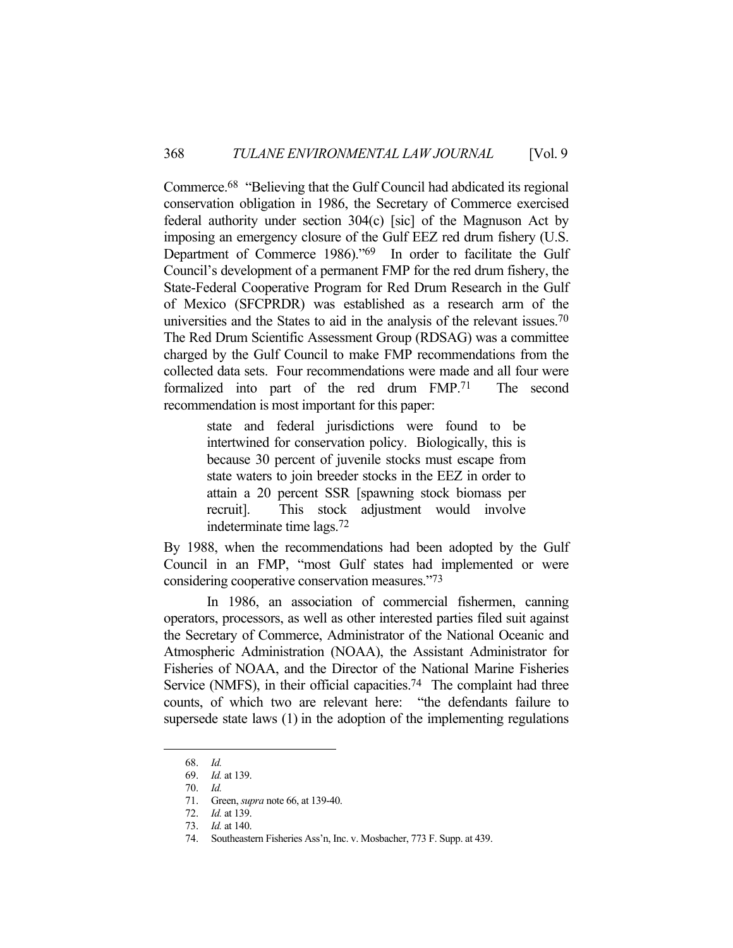Commerce.68 "Believing that the Gulf Council had abdicated its regional conservation obligation in 1986, the Secretary of Commerce exercised federal authority under section 304(c) [sic] of the Magnuson Act by imposing an emergency closure of the Gulf EEZ red drum fishery (U.S. Department of Commerce 1986)."69 In order to facilitate the Gulf Council's development of a permanent FMP for the red drum fishery, the State-Federal Cooperative Program for Red Drum Research in the Gulf of Mexico (SFCPRDR) was established as a research arm of the universities and the States to aid in the analysis of the relevant issues.<sup>70</sup> The Red Drum Scientific Assessment Group (RDSAG) was a committee charged by the Gulf Council to make FMP recommendations from the collected data sets. Four recommendations were made and all four were formalized into part of the red drum FMP.71 The second recommendation is most important for this paper:

> state and federal jurisdictions were found to be intertwined for conservation policy. Biologically, this is because 30 percent of juvenile stocks must escape from state waters to join breeder stocks in the EEZ in order to attain a 20 percent SSR [spawning stock biomass per recruit]. This stock adjustment would involve indeterminate time lags.72

By 1988, when the recommendations had been adopted by the Gulf Council in an FMP, "most Gulf states had implemented or were considering cooperative conservation measures."73

 In 1986, an association of commercial fishermen, canning operators, processors, as well as other interested parties filed suit against the Secretary of Commerce, Administrator of the National Oceanic and Atmospheric Administration (NOAA), the Assistant Administrator for Fisheries of NOAA, and the Director of the National Marine Fisheries Service (NMFS), in their official capacities.<sup>74</sup> The complaint had three counts, of which two are relevant here: "the defendants failure to supersede state laws (1) in the adoption of the implementing regulations

 <sup>68.</sup> *Id.*

 <sup>69.</sup> *Id.* at 139.

 <sup>70.</sup> *Id.*

 <sup>71.</sup> Green, *supra* note 66, at 139-40.

 <sup>72.</sup> *Id.* at 139.

 <sup>73.</sup> *Id.* at 140.

 <sup>74.</sup> Southeastern Fisheries Ass'n, Inc. v. Mosbacher, 773 F. Supp. at 439.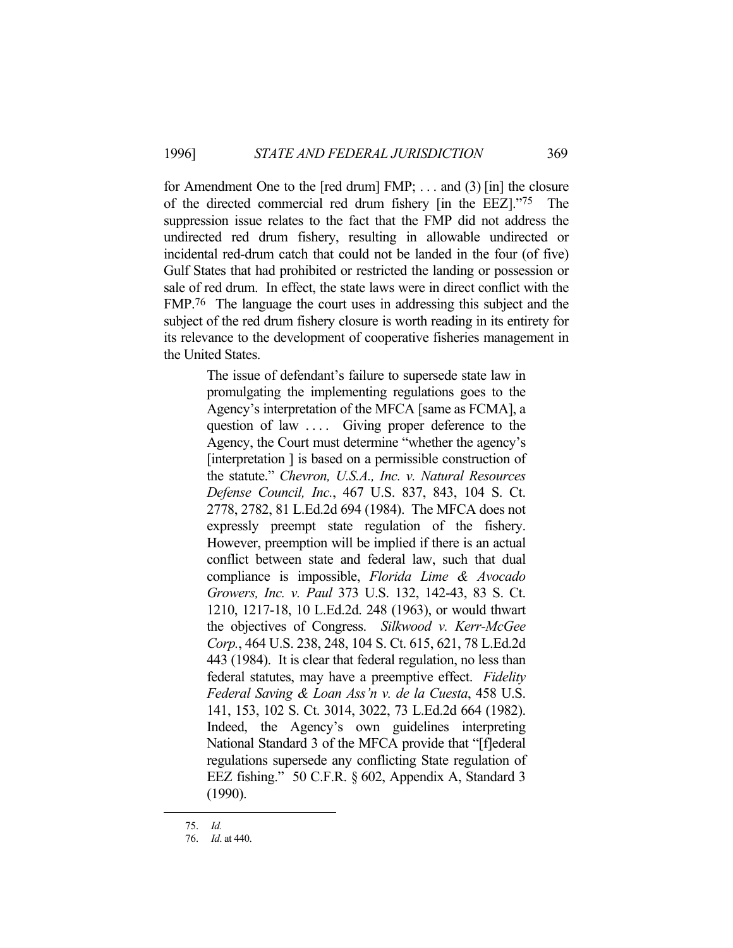for Amendment One to the [red drum] FMP; . . . and (3) [in] the closure of the directed commercial red drum fishery [in the EEZ]."75 The suppression issue relates to the fact that the FMP did not address the undirected red drum fishery, resulting in allowable undirected or incidental red-drum catch that could not be landed in the four (of five) Gulf States that had prohibited or restricted the landing or possession or sale of red drum. In effect, the state laws were in direct conflict with the FMP.76 The language the court uses in addressing this subject and the subject of the red drum fishery closure is worth reading in its entirety for its relevance to the development of cooperative fisheries management in the United States.

> The issue of defendant's failure to supersede state law in promulgating the implementing regulations goes to the Agency's interpretation of the MFCA [same as FCMA], a question of law .... Giving proper deference to the Agency, the Court must determine "whether the agency's [interpretation ] is based on a permissible construction of the statute." *Chevron, U.S.A., Inc. v. Natural Resources Defense Council, Inc.*, 467 U.S. 837, 843, 104 S. Ct. 2778, 2782, 81 L.Ed.2d 694 (1984). The MFCA does not expressly preempt state regulation of the fishery. However, preemption will be implied if there is an actual conflict between state and federal law, such that dual compliance is impossible, *Florida Lime & Avocado Growers, Inc. v. Paul* 373 U.S. 132, 142-43, 83 S. Ct. 1210, 1217-18, 10 L.Ed.2d. 248 (1963), or would thwart the objectives of Congress. *Silkwood v. Kerr-McGee Corp.*, 464 U.S. 238, 248, 104 S. Ct. 615, 621, 78 L.Ed.2d 443 (1984). It is clear that federal regulation, no less than federal statutes, may have a preemptive effect. *Fidelity Federal Saving & Loan Ass'n v. de la Cuesta*, 458 U.S. 141, 153, 102 S. Ct. 3014, 3022, 73 L.Ed.2d 664 (1982). Indeed, the Agency's own guidelines interpreting National Standard 3 of the MFCA provide that "[f]ederal regulations supersede any conflicting State regulation of EEZ fishing." 50 C.F.R. § 602, Appendix A, Standard 3 (1990).

 <sup>75.</sup> *Id.*

 <sup>76.</sup> *Id*. at 440.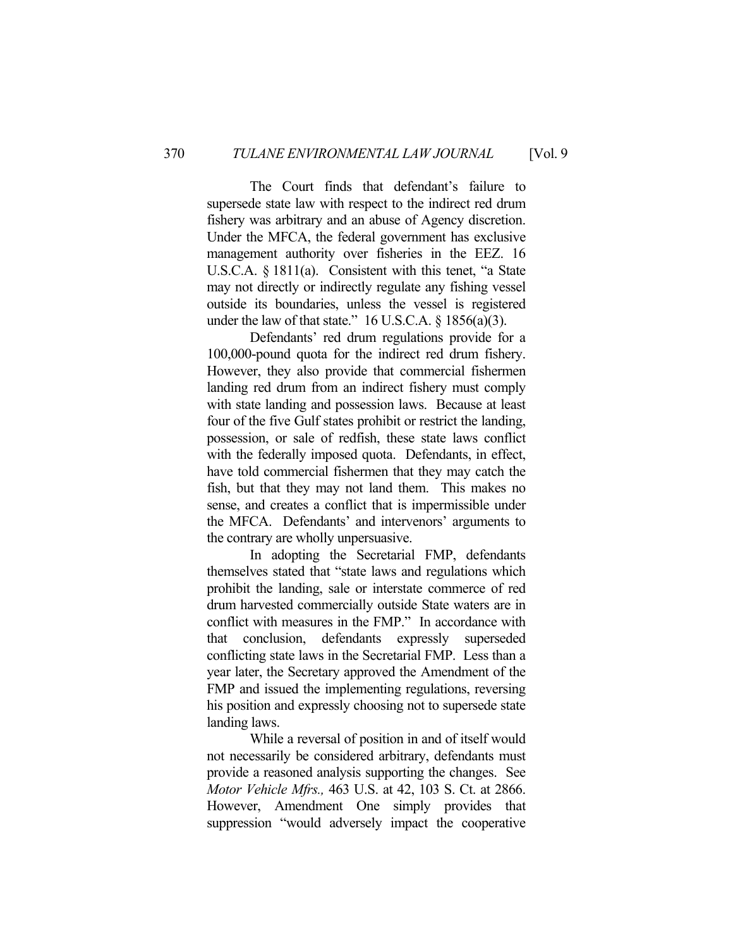The Court finds that defendant's failure to supersede state law with respect to the indirect red drum fishery was arbitrary and an abuse of Agency discretion. Under the MFCA, the federal government has exclusive management authority over fisheries in the EEZ. 16 U.S.C.A. § 1811(a). Consistent with this tenet, "a State may not directly or indirectly regulate any fishing vessel outside its boundaries, unless the vessel is registered under the law of that state."  $16$  U.S.C.A. §  $1856(a)(3)$ .

 Defendants' red drum regulations provide for a 100,000-pound quota for the indirect red drum fishery. However, they also provide that commercial fishermen landing red drum from an indirect fishery must comply with state landing and possession laws. Because at least four of the five Gulf states prohibit or restrict the landing, possession, or sale of redfish, these state laws conflict with the federally imposed quota. Defendants, in effect, have told commercial fishermen that they may catch the fish, but that they may not land them. This makes no sense, and creates a conflict that is impermissible under the MFCA. Defendants' and intervenors' arguments to the contrary are wholly unpersuasive.

 In adopting the Secretarial FMP, defendants themselves stated that "state laws and regulations which prohibit the landing, sale or interstate commerce of red drum harvested commercially outside State waters are in conflict with measures in the FMP." In accordance with that conclusion, defendants expressly superseded conflicting state laws in the Secretarial FMP. Less than a year later, the Secretary approved the Amendment of the FMP and issued the implementing regulations, reversing his position and expressly choosing not to supersede state landing laws.

 While a reversal of position in and of itself would not necessarily be considered arbitrary, defendants must provide a reasoned analysis supporting the changes. See *Motor Vehicle Mfrs.,* 463 U.S. at 42, 103 S. Ct. at 2866. However, Amendment One simply provides that suppression "would adversely impact the cooperative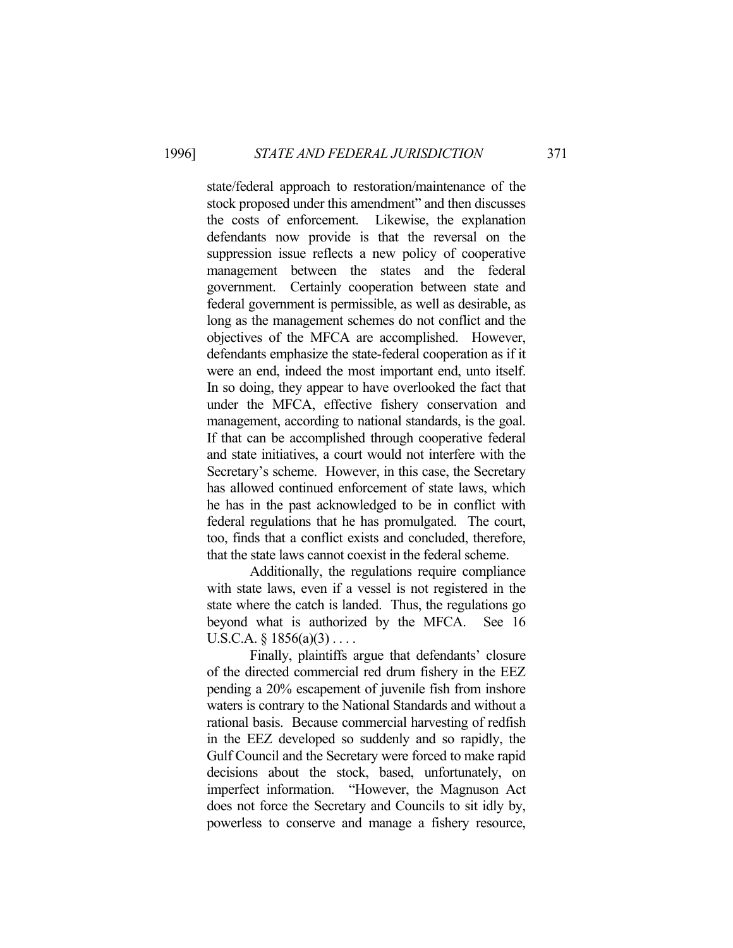state/federal approach to restoration/maintenance of the stock proposed under this amendment" and then discusses the costs of enforcement. Likewise, the explanation defendants now provide is that the reversal on the suppression issue reflects a new policy of cooperative management between the states and the federal government. Certainly cooperation between state and federal government is permissible, as well as desirable, as long as the management schemes do not conflict and the objectives of the MFCA are accomplished. However, defendants emphasize the state-federal cooperation as if it were an end, indeed the most important end, unto itself. In so doing, they appear to have overlooked the fact that under the MFCA, effective fishery conservation and management, according to national standards, is the goal. If that can be accomplished through cooperative federal and state initiatives, a court would not interfere with the Secretary's scheme. However, in this case, the Secretary has allowed continued enforcement of state laws, which he has in the past acknowledged to be in conflict with federal regulations that he has promulgated. The court, too, finds that a conflict exists and concluded, therefore, that the state laws cannot coexist in the federal scheme.

 Additionally, the regulations require compliance with state laws, even if a vessel is not registered in the state where the catch is landed. Thus, the regulations go beyond what is authorized by the MFCA. See 16 U.S.C.A.  $\S 1856(a)(3) \ldots$ 

 Finally, plaintiffs argue that defendants' closure of the directed commercial red drum fishery in the EEZ pending a 20% escapement of juvenile fish from inshore waters is contrary to the National Standards and without a rational basis. Because commercial harvesting of redfish in the EEZ developed so suddenly and so rapidly, the Gulf Council and the Secretary were forced to make rapid decisions about the stock, based, unfortunately, on imperfect information. "However, the Magnuson Act does not force the Secretary and Councils to sit idly by, powerless to conserve and manage a fishery resource,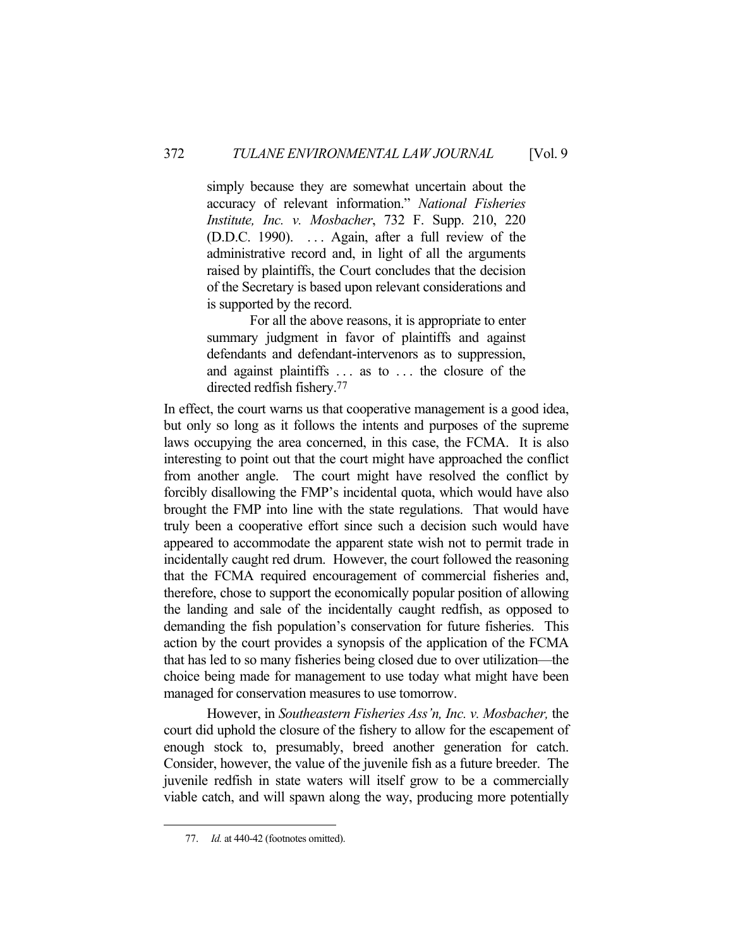simply because they are somewhat uncertain about the accuracy of relevant information." *National Fisheries Institute, Inc. v. Mosbacher*, 732 F. Supp. 210, 220 (D.D.C. 1990). . . . Again, after a full review of the administrative record and, in light of all the arguments raised by plaintiffs, the Court concludes that the decision of the Secretary is based upon relevant considerations and is supported by the record.

 For all the above reasons, it is appropriate to enter summary judgment in favor of plaintiffs and against defendants and defendant-intervenors as to suppression, and against plaintiffs . . . as to . . . the closure of the directed redfish fishery.77

In effect, the court warns us that cooperative management is a good idea, but only so long as it follows the intents and purposes of the supreme laws occupying the area concerned, in this case, the FCMA. It is also interesting to point out that the court might have approached the conflict from another angle. The court might have resolved the conflict by forcibly disallowing the FMP's incidental quota, which would have also brought the FMP into line with the state regulations. That would have truly been a cooperative effort since such a decision such would have appeared to accommodate the apparent state wish not to permit trade in incidentally caught red drum. However, the court followed the reasoning that the FCMA required encouragement of commercial fisheries and, therefore, chose to support the economically popular position of allowing the landing and sale of the incidentally caught redfish, as opposed to demanding the fish population's conservation for future fisheries. This action by the court provides a synopsis of the application of the FCMA that has led to so many fisheries being closed due to over utilization—the choice being made for management to use today what might have been managed for conservation measures to use tomorrow.

 However, in *Southeastern Fisheries Ass'n, Inc. v. Mosbacher,* the court did uphold the closure of the fishery to allow for the escapement of enough stock to, presumably, breed another generation for catch. Consider, however, the value of the juvenile fish as a future breeder. The juvenile redfish in state waters will itself grow to be a commercially viable catch, and will spawn along the way, producing more potentially

 <sup>77.</sup> *Id.* at 440-42 (footnotes omitted).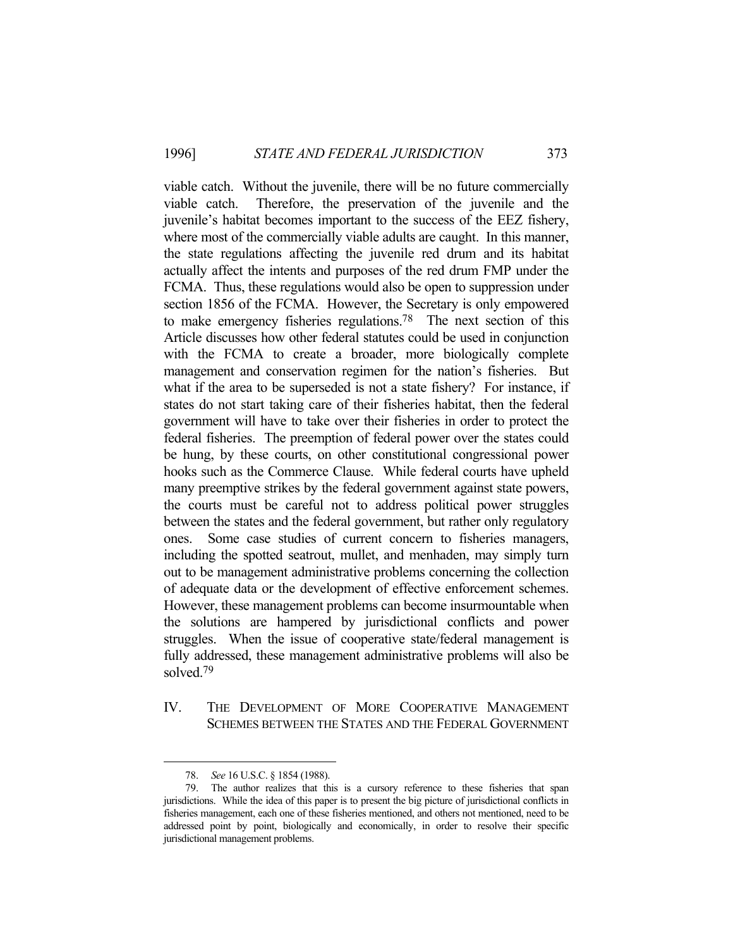viable catch. Without the juvenile, there will be no future commercially viable catch. Therefore, the preservation of the juvenile and the juvenile's habitat becomes important to the success of the EEZ fishery, where most of the commercially viable adults are caught. In this manner, the state regulations affecting the juvenile red drum and its habitat actually affect the intents and purposes of the red drum FMP under the FCMA. Thus, these regulations would also be open to suppression under section 1856 of the FCMA. However, the Secretary is only empowered to make emergency fisheries regulations.78 The next section of this Article discusses how other federal statutes could be used in conjunction with the FCMA to create a broader, more biologically complete management and conservation regimen for the nation's fisheries. But what if the area to be superseded is not a state fishery? For instance, if states do not start taking care of their fisheries habitat, then the federal government will have to take over their fisheries in order to protect the federal fisheries. The preemption of federal power over the states could be hung, by these courts, on other constitutional congressional power hooks such as the Commerce Clause. While federal courts have upheld many preemptive strikes by the federal government against state powers, the courts must be careful not to address political power struggles between the states and the federal government, but rather only regulatory ones. Some case studies of current concern to fisheries managers, including the spotted seatrout, mullet, and menhaden, may simply turn out to be management administrative problems concerning the collection of adequate data or the development of effective enforcement schemes. However, these management problems can become insurmountable when the solutions are hampered by jurisdictional conflicts and power struggles. When the issue of cooperative state/federal management is fully addressed, these management administrative problems will also be solved.79

IV. THE DEVELOPMENT OF MORE COOPERATIVE MANAGEMENT SCHEMES BETWEEN THE STATES AND THE FEDERAL GOVERNMENT

 <sup>78.</sup> *See* 16 U.S.C. § 1854 (1988).

 <sup>79.</sup> The author realizes that this is a cursory reference to these fisheries that span jurisdictions. While the idea of this paper is to present the big picture of jurisdictional conflicts in fisheries management, each one of these fisheries mentioned, and others not mentioned, need to be addressed point by point, biologically and economically, in order to resolve their specific jurisdictional management problems.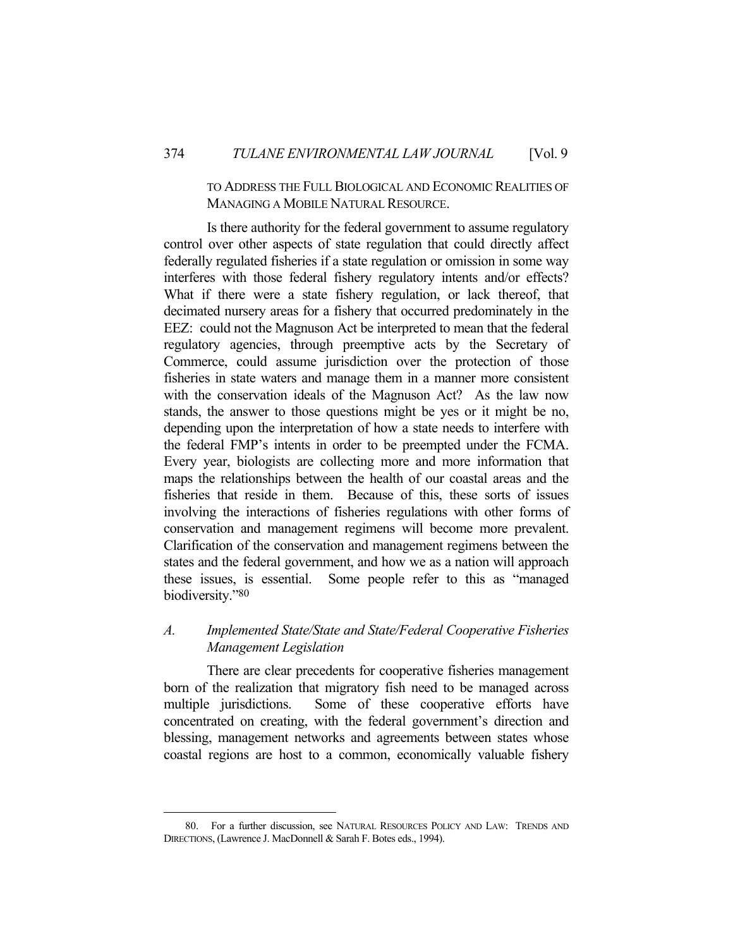### TO ADDRESS THE FULL BIOLOGICAL AND ECONOMIC REALITIES OF MANAGING A MOBILE NATURAL RESOURCE.

 Is there authority for the federal government to assume regulatory control over other aspects of state regulation that could directly affect federally regulated fisheries if a state regulation or omission in some way interferes with those federal fishery regulatory intents and/or effects? What if there were a state fishery regulation, or lack thereof, that decimated nursery areas for a fishery that occurred predominately in the EEZ: could not the Magnuson Act be interpreted to mean that the federal regulatory agencies, through preemptive acts by the Secretary of Commerce, could assume jurisdiction over the protection of those fisheries in state waters and manage them in a manner more consistent with the conservation ideals of the Magnuson Act? As the law now stands, the answer to those questions might be yes or it might be no, depending upon the interpretation of how a state needs to interfere with the federal FMP's intents in order to be preempted under the FCMA. Every year, biologists are collecting more and more information that maps the relationships between the health of our coastal areas and the fisheries that reside in them. Because of this, these sorts of issues involving the interactions of fisheries regulations with other forms of conservation and management regimens will become more prevalent. Clarification of the conservation and management regimens between the states and the federal government, and how we as a nation will approach these issues, is essential. Some people refer to this as "managed biodiversity."80

## *A. Implemented State/State and State/Federal Cooperative Fisheries Management Legislation*

 There are clear precedents for cooperative fisheries management born of the realization that migratory fish need to be managed across multiple jurisdictions. Some of these cooperative efforts have concentrated on creating, with the federal government's direction and blessing, management networks and agreements between states whose coastal regions are host to a common, economically valuable fishery

 <sup>80.</sup> For a further discussion, see NATURAL RESOURCES POLICY AND LAW: TRENDS AND DIRECTIONS, (Lawrence J. MacDonnell & Sarah F. Botes eds., 1994).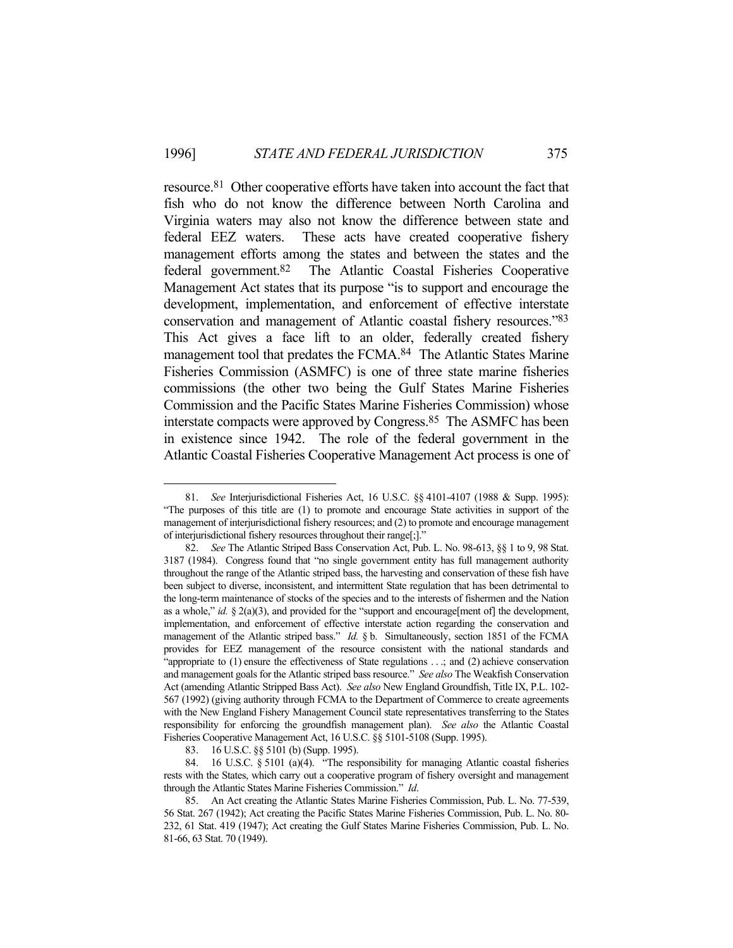resource.81 Other cooperative efforts have taken into account the fact that fish who do not know the difference between North Carolina and Virginia waters may also not know the difference between state and federal EEZ waters. These acts have created cooperative fishery management efforts among the states and between the states and the federal government.82 The Atlantic Coastal Fisheries Cooperative Management Act states that its purpose "is to support and encourage the development, implementation, and enforcement of effective interstate conservation and management of Atlantic coastal fishery resources."83 This Act gives a face lift to an older, federally created fishery management tool that predates the FCMA.<sup>84</sup> The Atlantic States Marine Fisheries Commission (ASMFC) is one of three state marine fisheries commissions (the other two being the Gulf States Marine Fisheries Commission and the Pacific States Marine Fisheries Commission) whose interstate compacts were approved by Congress.85 The ASMFC has been in existence since 1942. The role of the federal government in the Atlantic Coastal Fisheries Cooperative Management Act process is one of

 <sup>81.</sup> *See* Interjurisdictional Fisheries Act, 16 U.S.C. §§ 4101-4107 (1988 & Supp. 1995): "The purposes of this title are (1) to promote and encourage State activities in support of the management of interjurisdictional fishery resources; and (2) to promote and encourage management of interjurisdictional fishery resources throughout their range[;]."

 <sup>82.</sup> *See* The Atlantic Striped Bass Conservation Act, Pub. L. No. 98-613, §§ 1 to 9, 98 Stat. 3187 (1984). Congress found that "no single government entity has full management authority throughout the range of the Atlantic striped bass, the harvesting and conservation of these fish have been subject to diverse, inconsistent, and intermittent State regulation that has been detrimental to the long-term maintenance of stocks of the species and to the interests of fishermen and the Nation as a whole," *id.* § 2(a)(3), and provided for the "support and encourage[ment of] the development, implementation, and enforcement of effective interstate action regarding the conservation and management of the Atlantic striped bass." *Id.* § b. Simultaneously, section 1851 of the FCMA provides for EEZ management of the resource consistent with the national standards and "appropriate to (1) ensure the effectiveness of State regulations . . .; and (2) achieve conservation and management goals for the Atlantic striped bass resource." *See also* The Weakfish Conservation Act (amending Atlantic Stripped Bass Act). *See also* New England Groundfish, Title IX, P.L. 102- 567 (1992) (giving authority through FCMA to the Department of Commerce to create agreements with the New England Fishery Management Council state representatives transferring to the States responsibility for enforcing the groundfish management plan). *See also* the Atlantic Coastal Fisheries Cooperative Management Act, 16 U.S.C. §§ 5101-5108 (Supp. 1995).

 <sup>83. 16</sup> U.S.C. §§ 5101 (b) (Supp. 1995).

 <sup>84. 16</sup> U.S.C. § 5101 (a)(4). "The responsibility for managing Atlantic coastal fisheries rests with the States, which carry out a cooperative program of fishery oversight and management through the Atlantic States Marine Fisheries Commission." *Id*.

 <sup>85.</sup> An Act creating the Atlantic States Marine Fisheries Commission, Pub. L. No. 77-539, 56 Stat. 267 (1942); Act creating the Pacific States Marine Fisheries Commission, Pub. L. No. 80- 232, 61 Stat. 419 (1947); Act creating the Gulf States Marine Fisheries Commission, Pub. L. No. 81-66, 63 Stat. 70 (1949).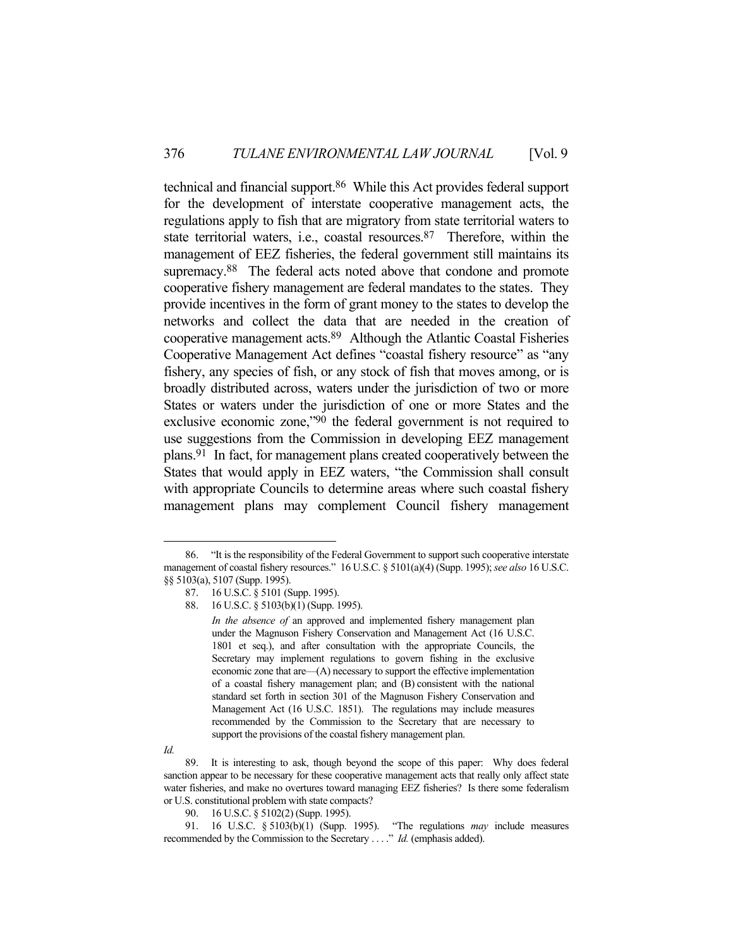technical and financial support.86 While this Act provides federal support for the development of interstate cooperative management acts, the regulations apply to fish that are migratory from state territorial waters to state territorial waters, i.e., coastal resources. $87$  Therefore, within the management of EEZ fisheries, the federal government still maintains its supremacy.<sup>88</sup> The federal acts noted above that condone and promote cooperative fishery management are federal mandates to the states. They provide incentives in the form of grant money to the states to develop the networks and collect the data that are needed in the creation of cooperative management acts.89 Although the Atlantic Coastal Fisheries Cooperative Management Act defines "coastal fishery resource" as "any fishery, any species of fish, or any stock of fish that moves among, or is broadly distributed across, waters under the jurisdiction of two or more States or waters under the jurisdiction of one or more States and the exclusive economic zone,"90 the federal government is not required to use suggestions from the Commission in developing EEZ management plans.91 In fact, for management plans created cooperatively between the States that would apply in EEZ waters, "the Commission shall consult with appropriate Councils to determine areas where such coastal fishery management plans may complement Council fishery management

 <sup>86. &</sup>quot;It is the responsibility of the Federal Government to support such cooperative interstate management of coastal fishery resources." 16 U.S.C. § 5101(a)(4) (Supp. 1995); *see also* 16 U.S.C. §§ 5103(a), 5107 (Supp. 1995).

 <sup>87. 16</sup> U.S.C. § 5101 (Supp. 1995).

 <sup>88. 16</sup> U.S.C. § 5103(b)(1) (Supp. 1995).

*In the absence of* an approved and implemented fishery management plan under the Magnuson Fishery Conservation and Management Act (16 U.S.C. 1801 et seq.), and after consultation with the appropriate Councils, the Secretary may implement regulations to govern fishing in the exclusive economic zone that are—(A) necessary to support the effective implementation of a coastal fishery management plan; and (B) consistent with the national standard set forth in section 301 of the Magnuson Fishery Conservation and Management Act (16 U.S.C. 1851). The regulations may include measures recommended by the Commission to the Secretary that are necessary to support the provisions of the coastal fishery management plan.

*Id.*

 <sup>89.</sup> It is interesting to ask, though beyond the scope of this paper: Why does federal sanction appear to be necessary for these cooperative management acts that really only affect state water fisheries, and make no overtures toward managing EEZ fisheries? Is there some federalism or U.S. constitutional problem with state compacts?

<sup>90. 16</sup> U.S.C. § 5102(2) (Supp. 1995).

 <sup>91. 16</sup> U.S.C. § 5103(b)(1) (Supp. 1995). "The regulations *may* include measures recommended by the Commission to the Secretary . . . ." *Id.* (emphasis added).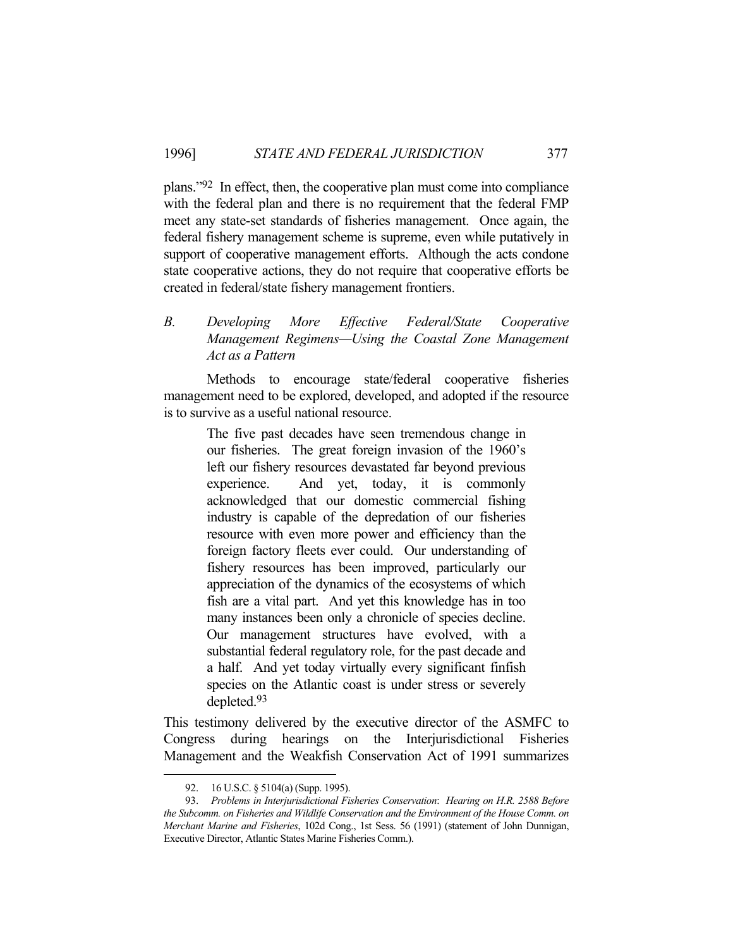plans."92 In effect, then, the cooperative plan must come into compliance with the federal plan and there is no requirement that the federal FMP meet any state-set standards of fisheries management. Once again, the federal fishery management scheme is supreme, even while putatively in support of cooperative management efforts. Although the acts condone state cooperative actions, they do not require that cooperative efforts be created in federal/state fishery management frontiers.

# *B. Developing More Effective Federal/State Cooperative Management Regimens—Using the Coastal Zone Management Act as a Pattern*

 Methods to encourage state/federal cooperative fisheries management need to be explored, developed, and adopted if the resource is to survive as a useful national resource.

> The five past decades have seen tremendous change in our fisheries. The great foreign invasion of the 1960's left our fishery resources devastated far beyond previous experience. And yet, today, it is commonly acknowledged that our domestic commercial fishing industry is capable of the depredation of our fisheries resource with even more power and efficiency than the foreign factory fleets ever could. Our understanding of fishery resources has been improved, particularly our appreciation of the dynamics of the ecosystems of which fish are a vital part. And yet this knowledge has in too many instances been only a chronicle of species decline. Our management structures have evolved, with a substantial federal regulatory role, for the past decade and a half. And yet today virtually every significant finfish species on the Atlantic coast is under stress or severely depleted.93

This testimony delivered by the executive director of the ASMFC to Congress during hearings on the Interjurisdictional Fisheries Management and the Weakfish Conservation Act of 1991 summarizes

 <sup>92. 16</sup> U.S.C. § 5104(a) (Supp. 1995).

 <sup>93.</sup> *Problems in Interjurisdictional Fisheries Conservation*: *Hearing on H.R. 2588 Before the Subcomm. on Fisheries and Wildlife Conservation and the Environment of the House Comm. on Merchant Marine and Fisheries*, 102d Cong., 1st Sess. 56 (1991) (statement of John Dunnigan, Executive Director, Atlantic States Marine Fisheries Comm.).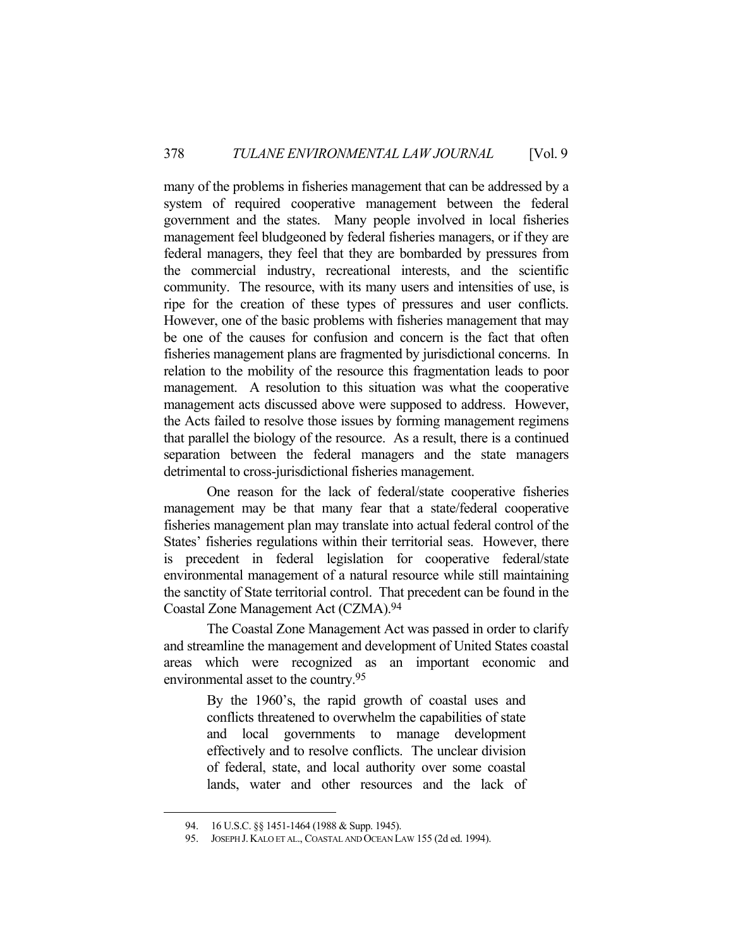many of the problems in fisheries management that can be addressed by a system of required cooperative management between the federal government and the states. Many people involved in local fisheries management feel bludgeoned by federal fisheries managers, or if they are federal managers, they feel that they are bombarded by pressures from the commercial industry, recreational interests, and the scientific community. The resource, with its many users and intensities of use, is ripe for the creation of these types of pressures and user conflicts. However, one of the basic problems with fisheries management that may be one of the causes for confusion and concern is the fact that often fisheries management plans are fragmented by jurisdictional concerns. In relation to the mobility of the resource this fragmentation leads to poor management. A resolution to this situation was what the cooperative management acts discussed above were supposed to address. However, the Acts failed to resolve those issues by forming management regimens that parallel the biology of the resource. As a result, there is a continued separation between the federal managers and the state managers detrimental to cross-jurisdictional fisheries management.

 One reason for the lack of federal/state cooperative fisheries management may be that many fear that a state/federal cooperative fisheries management plan may translate into actual federal control of the States' fisheries regulations within their territorial seas. However, there is precedent in federal legislation for cooperative federal/state environmental management of a natural resource while still maintaining the sanctity of State territorial control. That precedent can be found in the Coastal Zone Management Act (CZMA).94

 The Coastal Zone Management Act was passed in order to clarify and streamline the management and development of United States coastal areas which were recognized as an important economic and environmental asset to the country.95

> By the 1960's, the rapid growth of coastal uses and conflicts threatened to overwhelm the capabilities of state and local governments to manage development effectively and to resolve conflicts. The unclear division of federal, state, and local authority over some coastal lands, water and other resources and the lack of

<sup>94. 16</sup> U.S.C. §§ 1451-1464 (1988 & Supp. 1945).

 <sup>95.</sup> JOSEPH J.KALO ET AL., COASTAL AND OCEAN LAW 155 (2d ed. 1994).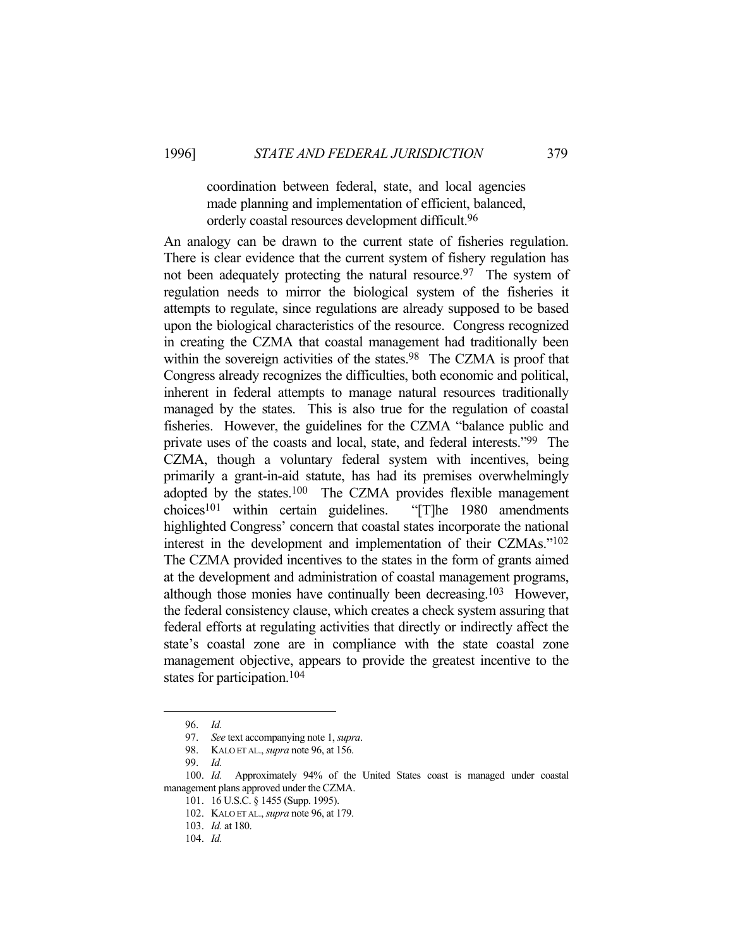#### coordination between federal, state, and local agencies made planning and implementation of efficient, balanced, orderly coastal resources development difficult.96

An analogy can be drawn to the current state of fisheries regulation. There is clear evidence that the current system of fishery regulation has not been adequately protecting the natural resource.<sup>97</sup> The system of regulation needs to mirror the biological system of the fisheries it attempts to regulate, since regulations are already supposed to be based upon the biological characteristics of the resource. Congress recognized in creating the CZMA that coastal management had traditionally been within the sovereign activities of the states.<sup>98</sup> The CZMA is proof that Congress already recognizes the difficulties, both economic and political, inherent in federal attempts to manage natural resources traditionally managed by the states. This is also true for the regulation of coastal fisheries. However, the guidelines for the CZMA "balance public and private uses of the coasts and local, state, and federal interests."99 The CZMA, though a voluntary federal system with incentives, being primarily a grant-in-aid statute, has had its premises overwhelmingly adopted by the states.100 The CZMA provides flexible management choices101 within certain guidelines. "[T]he 1980 amendments highlighted Congress' concern that coastal states incorporate the national interest in the development and implementation of their CZMAs."102 The CZMA provided incentives to the states in the form of grants aimed at the development and administration of coastal management programs, although those monies have continually been decreasing.103 However, the federal consistency clause, which creates a check system assuring that federal efforts at regulating activities that directly or indirectly affect the state's coastal zone are in compliance with the state coastal zone management objective, appears to provide the greatest incentive to the states for participation.104

 <sup>96.</sup> *Id.*

 <sup>97.</sup> *See* text accompanying note 1, *supra*.

 <sup>98.</sup> KALO ET AL., *supra* note 96, at 156.

 <sup>99.</sup> *Id.*

 <sup>100.</sup> *Id.* Approximately 94% of the United States coast is managed under coastal management plans approved under the CZMA.

 <sup>101. 16</sup> U.S.C. § 1455 (Supp. 1995).

 <sup>102.</sup> KALO ET AL., *supra* note 96, at 179.

 <sup>103.</sup> *Id.* at 180.

 <sup>104.</sup> *Id.*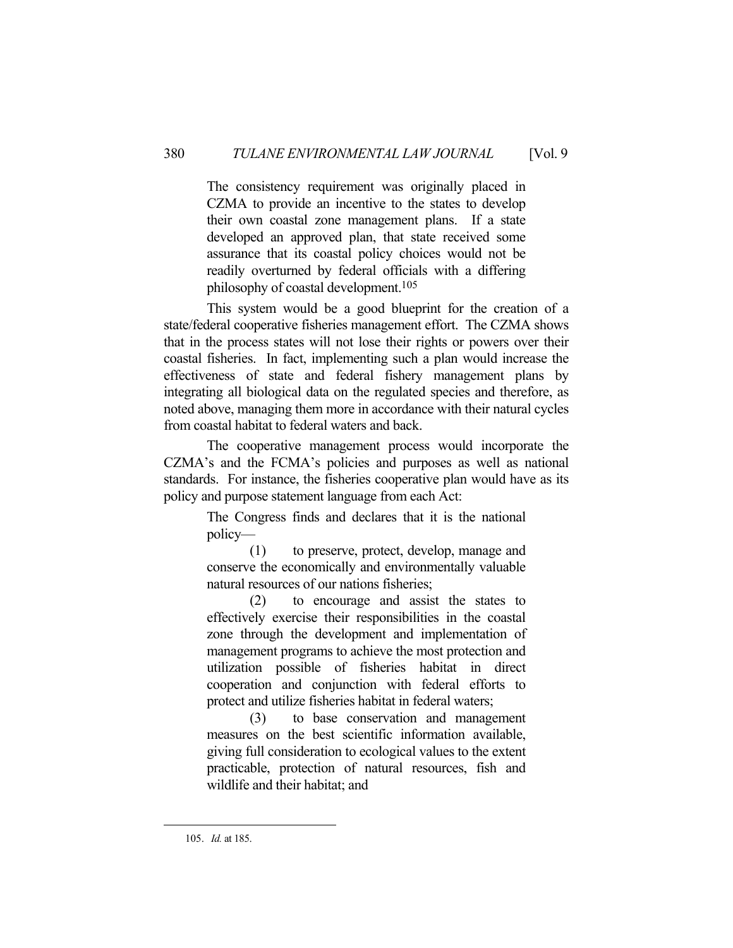The consistency requirement was originally placed in CZMA to provide an incentive to the states to develop their own coastal zone management plans. If a state developed an approved plan, that state received some assurance that its coastal policy choices would not be readily overturned by federal officials with a differing philosophy of coastal development.105

 This system would be a good blueprint for the creation of a state/federal cooperative fisheries management effort. The CZMA shows that in the process states will not lose their rights or powers over their coastal fisheries. In fact, implementing such a plan would increase the effectiveness of state and federal fishery management plans by integrating all biological data on the regulated species and therefore, as noted above, managing them more in accordance with their natural cycles from coastal habitat to federal waters and back.

 The cooperative management process would incorporate the CZMA's and the FCMA's policies and purposes as well as national standards. For instance, the fisheries cooperative plan would have as its policy and purpose statement language from each Act:

> The Congress finds and declares that it is the national policy—

> (1) to preserve, protect, develop, manage and conserve the economically and environmentally valuable natural resources of our nations fisheries;

> (2) to encourage and assist the states to effectively exercise their responsibilities in the coastal zone through the development and implementation of management programs to achieve the most protection and utilization possible of fisheries habitat in direct cooperation and conjunction with federal efforts to protect and utilize fisheries habitat in federal waters;

> (3) to base conservation and management measures on the best scientific information available, giving full consideration to ecological values to the extent practicable, protection of natural resources, fish and wildlife and their habitat; and

 <sup>105.</sup> *Id.* at 185.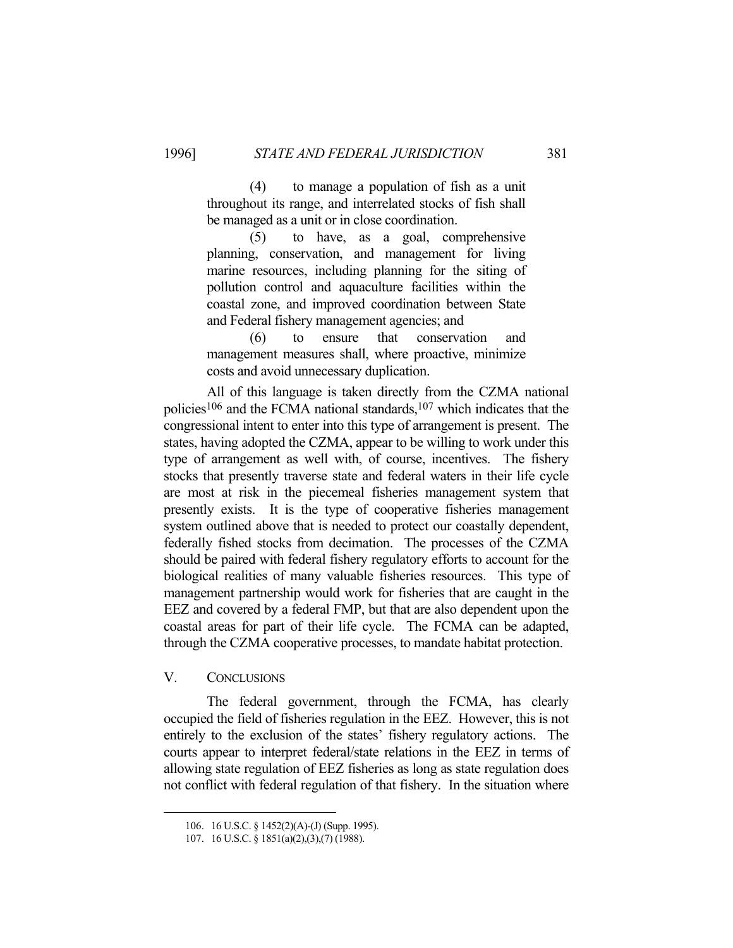(4) to manage a population of fish as a unit throughout its range, and interrelated stocks of fish shall be managed as a unit or in close coordination.

 (5) to have, as a goal, comprehensive planning, conservation, and management for living marine resources, including planning for the siting of pollution control and aquaculture facilities within the coastal zone, and improved coordination between State and Federal fishery management agencies; and

 (6) to ensure that conservation and management measures shall, where proactive, minimize costs and avoid unnecessary duplication.

 All of this language is taken directly from the CZMA national policies106 and the FCMA national standards,107 which indicates that the congressional intent to enter into this type of arrangement is present. The states, having adopted the CZMA, appear to be willing to work under this type of arrangement as well with, of course, incentives. The fishery stocks that presently traverse state and federal waters in their life cycle are most at risk in the piecemeal fisheries management system that presently exists. It is the type of cooperative fisheries management system outlined above that is needed to protect our coastally dependent, federally fished stocks from decimation. The processes of the CZMA should be paired with federal fishery regulatory efforts to account for the biological realities of many valuable fisheries resources. This type of management partnership would work for fisheries that are caught in the EEZ and covered by a federal FMP, but that are also dependent upon the coastal areas for part of their life cycle. The FCMA can be adapted, through the CZMA cooperative processes, to mandate habitat protection.

#### V. CONCLUSIONS

1

 The federal government, through the FCMA, has clearly occupied the field of fisheries regulation in the EEZ. However, this is not entirely to the exclusion of the states' fishery regulatory actions. The courts appear to interpret federal/state relations in the EEZ in terms of allowing state regulation of EEZ fisheries as long as state regulation does not conflict with federal regulation of that fishery. In the situation where

 <sup>106. 16</sup> U.S.C. § 1452(2)(A)-(J) (Supp. 1995).

 <sup>107. 16</sup> U.S.C. § 1851(a)(2),(3),(7) (1988).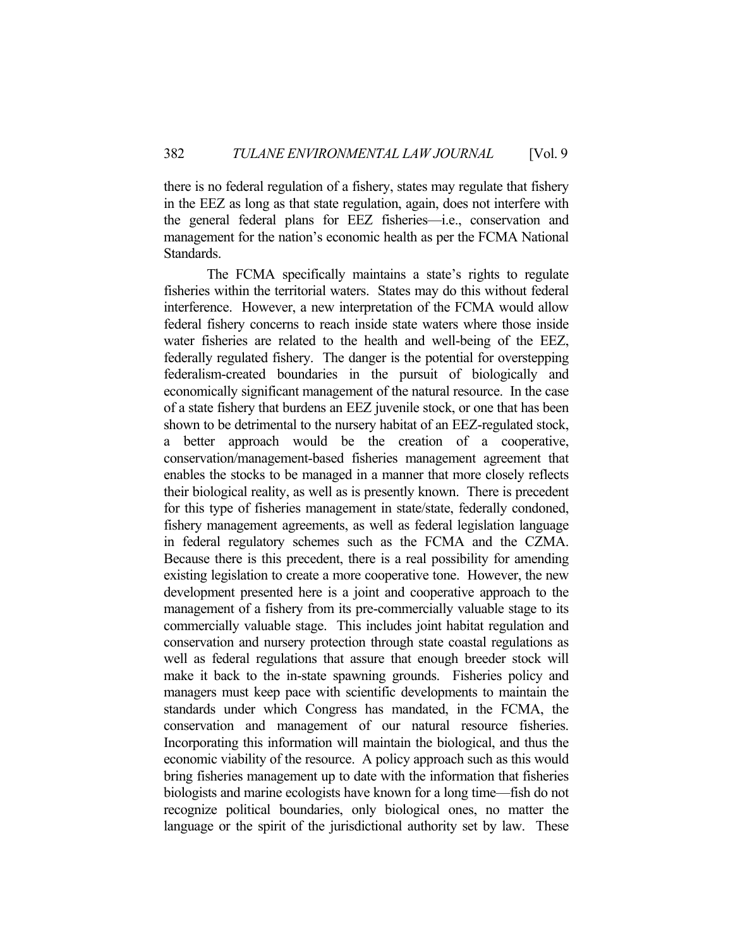there is no federal regulation of a fishery, states may regulate that fishery in the EEZ as long as that state regulation, again, does not interfere with the general federal plans for EEZ fisheries—i.e., conservation and management for the nation's economic health as per the FCMA National Standards.

 The FCMA specifically maintains a state's rights to regulate fisheries within the territorial waters. States may do this without federal interference. However, a new interpretation of the FCMA would allow federal fishery concerns to reach inside state waters where those inside water fisheries are related to the health and well-being of the EEZ, federally regulated fishery. The danger is the potential for overstepping federalism-created boundaries in the pursuit of biologically and economically significant management of the natural resource. In the case of a state fishery that burdens an EEZ juvenile stock, or one that has been shown to be detrimental to the nursery habitat of an EEZ-regulated stock, a better approach would be the creation of a cooperative, conservation/management-based fisheries management agreement that enables the stocks to be managed in a manner that more closely reflects their biological reality, as well as is presently known. There is precedent for this type of fisheries management in state/state, federally condoned, fishery management agreements, as well as federal legislation language in federal regulatory schemes such as the FCMA and the CZMA. Because there is this precedent, there is a real possibility for amending existing legislation to create a more cooperative tone. However, the new development presented here is a joint and cooperative approach to the management of a fishery from its pre-commercially valuable stage to its commercially valuable stage. This includes joint habitat regulation and conservation and nursery protection through state coastal regulations as well as federal regulations that assure that enough breeder stock will make it back to the in-state spawning grounds. Fisheries policy and managers must keep pace with scientific developments to maintain the standards under which Congress has mandated, in the FCMA, the conservation and management of our natural resource fisheries. Incorporating this information will maintain the biological, and thus the economic viability of the resource. A policy approach such as this would bring fisheries management up to date with the information that fisheries biologists and marine ecologists have known for a long time—fish do not recognize political boundaries, only biological ones, no matter the language or the spirit of the jurisdictional authority set by law. These